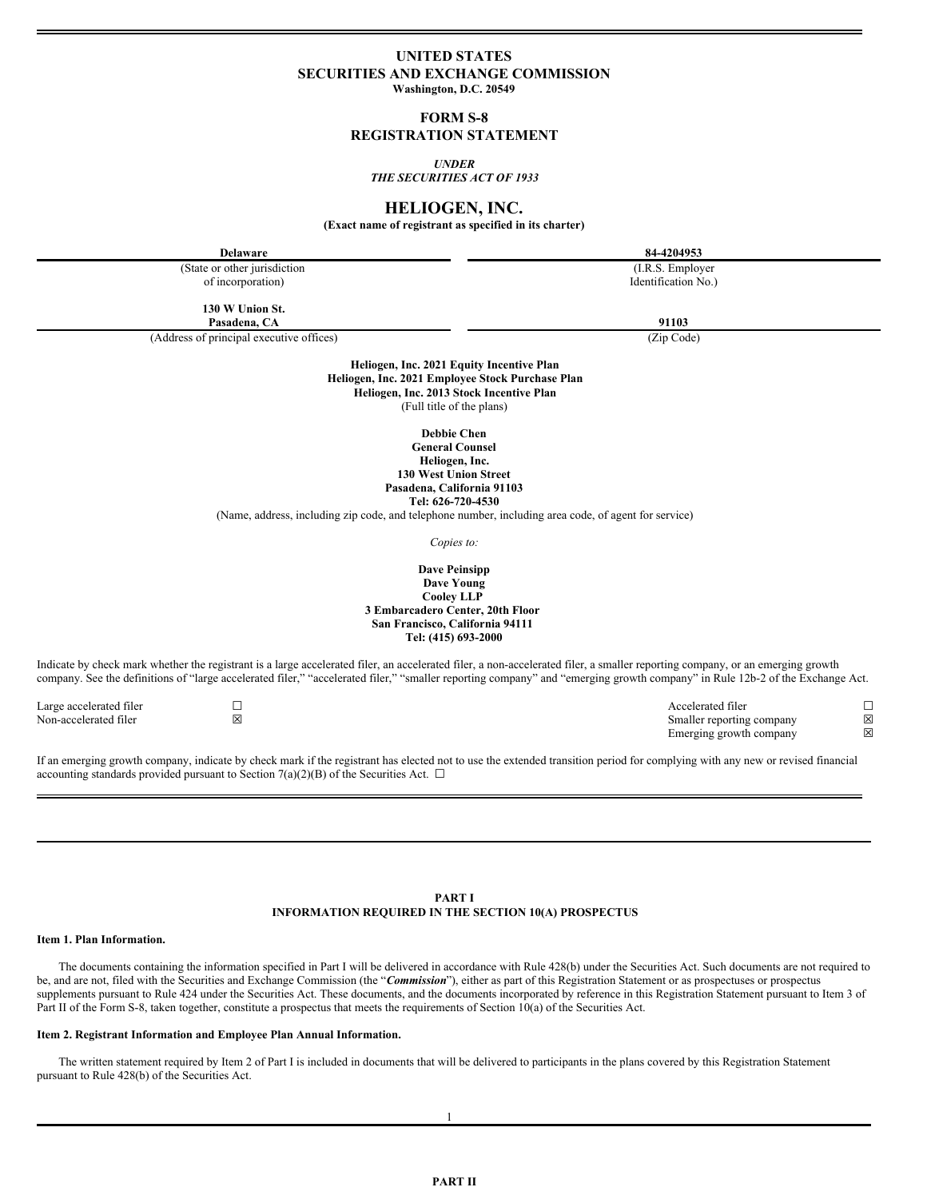## **UNITED STATES SECURITIES AND EXCHANGE COMMISSION**

**Washington, D.C. 20549**

**FORM S-8**

## **REGISTRATION STATEMENT**

*UNDER*

*THE SECURITIES ACT OF 1933*

## **HELIOGEN, INC.**

**(Exact name of registrant as specified in its charter)**

**Delaware 84-4204953** (State or other jurisdiction of incorporation) (I.R.S. Employer Identification No.) **130 W Union St. Pasadena, CA 91103** (Address of principal executive offices) (Zip Code) **Heliogen, Inc. 2021 Equity Incentive Plan Heliogen, Inc. 2021 Employee Stock Purchase Plan Heliogen, Inc. 2013 Stock Incentive Plan** (Full title of the plans) **Debbie Chen General Counsel Heliogen, Inc. 130 West Union Street Pasadena, California 91103 Tel: 626-720-4530** (Name, address, including zip code, and telephone number, including area code, of agent for service) *Copies to:* **Dave Peinsipp Dave Young Cooley LLP 3 Embarcadero Center, 20th Floor San Francisco, California 94111 Tel: (415) 693-2000** Indicate by check mark whether the registrant is a large accelerated filer, an accelerated filer, a non-accelerated filer, a smaller reporting company, or an emerging growth company. See the definitions of "large accelerated filer," "accelerated filer," "smaller reporting company" and "emerging growth company" in Rule 12b-2 of the Exchange Act. Large accelerated filer ☐ Accelerated filer ☐ Non-accelerated filer <br>
⊠ ⊠ Smaller reporting company ⊠<br>
Emerging growth company ⊠ Emerging growth company If an emerging growth company, indicate by check mark if the registrant has elected not to use the extended transition period for complying with any new or revised financial accounting standards provided pursuant to Section 7(a)(2)(B) of the Securities Act.  $\Box$ 

> **PART I INFORMATION REQUIRED IN THE SECTION 10(A) PROSPECTUS**

#### **Item 1. Plan Information.**

The documents containing the information specified in Part I will be delivered in accordance with Rule 428(b) under the Securities Act. Such documents are not required to be, and are not, filed with the Securities and Exchange Commission (the "*Commission*"), either as part of this Registration Statement or as prospectuses or prospectus supplements pursuant to Rule 424 under the Securities Act. These documents, and the documents incorporated by reference in this Registration Statement pursuant to Item 3 of Part II of the Form S-8, taken together, constitute a prospectus that meets the requirements of Section 10(a) of the Securities Act.

#### **Item 2. Registrant Information and Employee Plan Annual Information.**

The written statement required by Item 2 of Part I is included in documents that will be delivered to participants in the plans covered by this Registration Statement pursuant to Rule 428(b) of the Securities Act.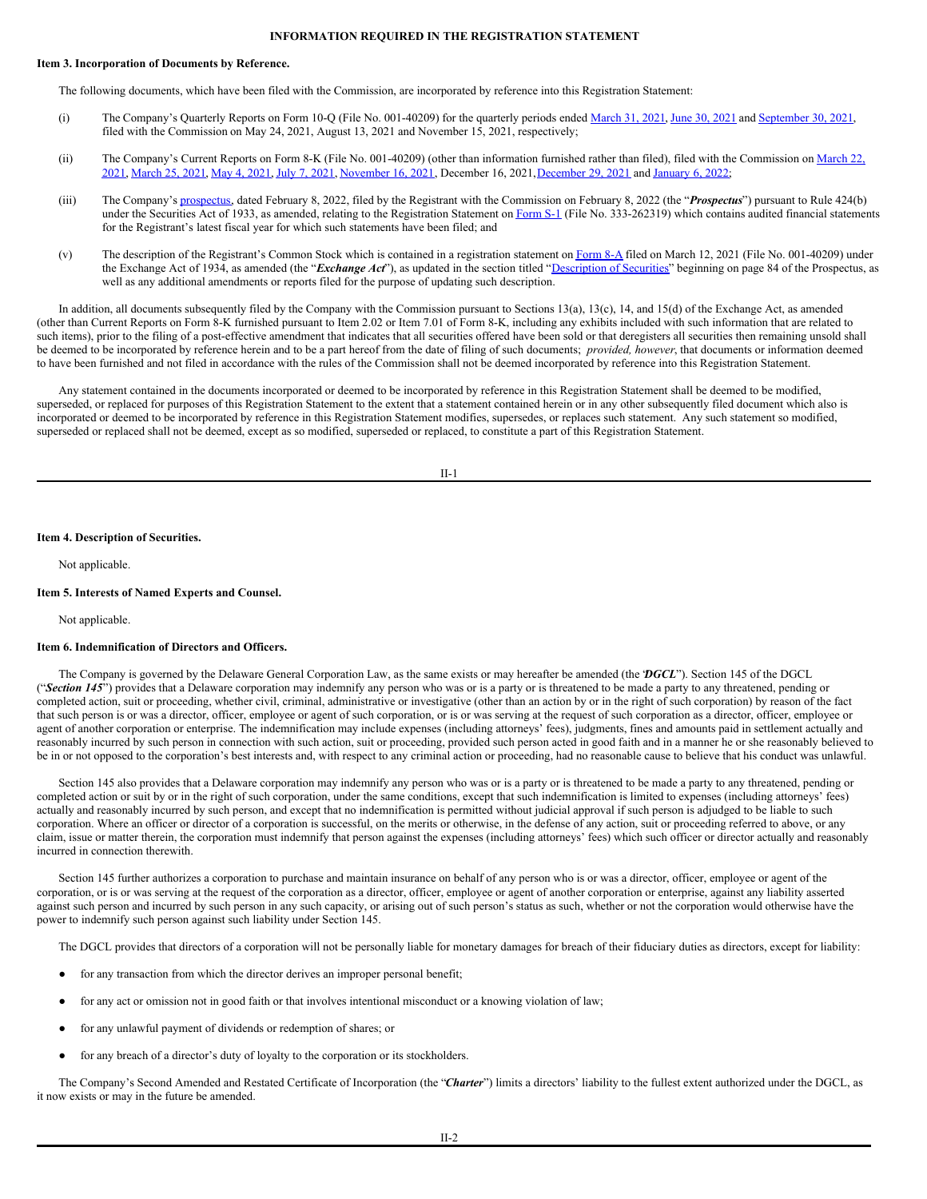#### **INFORMATION REQUIRED IN THE REGISTRATION STATEMENT**

### **Item 3. Incorporation of Documents by Reference.**

The following documents, which have been filed with the Commission, are incorporated by reference into this Registration Statement:

- (i) The Company's Quarterly Reports on Form 10-Q (File No. 001-40209) for the quarterly periods ended [March](http://www.sec.gov/Archives/edgar/data/1840292/000121390021028744/f10q0321_athenatechnology.htm) 31, 2021, [June](http://www.sec.gov/ix?doc=/Archives/edgar/data/1840292/000121390021042245/f10q0621_athenatech.htm) 30, 2021 and [September](http://www.sec.gov/ix?doc=/Archives/edgar/data/1840292/000121390021059562/f10q0921_athenatech.htm) 30, 2021, filed with the Commission on May 24, 2021, August 13, 2021 and November 15, 2021, respectively;
- (ii) The Company's Current Reports on Form 8-K (File No. 001-40209) (other than information furnished rather than filed), filed with the Commission on March 22, 2021, [March](http://www.sec.gov/Archives/edgar/data/1840292/000121390021017803/ea138392-8k_athenatech.htm) 25, [2021](http://www.sec.gov/Archives/edgar/data/1840292/000121390021035870/ea143729-8k_athenatech.htm), May 4, 2021, July 7, 2021, [November](http://www.sec.gov/ix?doc=/Archives/edgar/data/1840292/000121390021060122/ea150571-8k_athenatech.htm) 16, 2021, December 16, 2021, December 29, 2021 and [January](http://www.sec.gov/ix?doc=/Archives/edgar/data/1840292/000121390022000981/ea153385-8k_heliogeninc.htm) 6, 2022;
- (iii) The Company's [prospectus](http://www.sec.gov/Archives/edgar/data/1840292/000121390022005934/f424b30222_heliogen.htm), dated February 8, 2022, filed by the Registrant with the Commission on February 8, 2022 (the "*Prospectus*") pursuant to Rule 424(b) under the Securities Act of 1933, as amended, relating to the Registration Statement on [Form](http://www.sec.gov/ix?doc=/Archives/edgar/data/1840292/000121390022003362/fs12022_heliogen.htm) S-1 (File No. 333-262319) which contains audited financial statements for the Registrant's latest fiscal year for which such statements have been filed; and
- (v) The description of the Registrant's Common Stock which is contained in a registration statement on [Form](http://www.sec.gov/Archives/edgar/data/1840292/000121390021015048/ea137390-8a12b_athena.htm) 8-A filed on March 12, 2021 (File No. 001-40209) under the Exchange Act of 1934, as amended (the "*Exchange Act*"), as updated in the section titled ["Description](http://www.sec.gov/Archives/edgar/data/1840292/000121390022005934/f424b30222_heliogen.htm#T7) of Securities" beginning on page 84 of the Prospectus, as well as any additional amendments or reports filed for the purpose of updating such description.

In addition, all documents subsequently filed by the Company with the Commission pursuant to Sections 13(a), 13(c), 14, and 15(d) of the Exchange Act, as amended (other than Current Reports on Form 8-K furnished pursuant to Item 2.02 or Item 7.01 of Form 8-K, including any exhibits included with such information that are related to such items), prior to the filing of a post-effective amendment that indicates that all securities offered have been sold or that deregisters all securities then remaining unsold shall be deemed to be incorporated by reference herein and to be a part hereof from the date of filing of such documents; *provided, however*, that documents or information deemed to have been furnished and not filed in accordance with the rules of the Commission shall not be deemed incorporated by reference into this Registration Statement.

Any statement contained in the documents incorporated or deemed to be incorporated by reference in this Registration Statement shall be deemed to be modified, superseded, or replaced for purposes of this Registration Statement to the extent that a statement contained herein or in any other subsequently filed document which also is incorporated or deemed to be incorporated by reference in this Registration Statement modifies, supersedes, or replaces such statement. Any such statement so modified, superseded or replaced shall not be deemed, except as so modified, superseded or replaced, to constitute a part of this Registration Statement.

II-1

#### **Item 4. Description of Securities.**

Not applicable.

#### **Item 5. Interests of Named Experts and Counsel.**

Not applicable.

#### **Item 6. Indemnification of Directors and Officers.**

The Company is governed by the Delaware General Corporation Law, as the same exists or may hereafter be amended (the "*DGCL*"). Section 145 of the DGCL ("Section 145") provides that a Delaware corporation may indemnify any person who was or is a party or is threatened to be made a party to any threatened, pending or completed action, suit or proceeding, whether civil, criminal, administrative or investigative (other than an action by or in the right of such corporation) by reason of the fact that such person is or was a director, officer, employee or agent of such corporation, or is or was serving at the request of such corporation as a director, officer, employee or agent of another corporation or enterprise. The indemnification may include expenses (including attorneys' fees), judgments, fines and amounts paid in settlement actually and reasonably incurred by such person in connection with such action, suit or proceeding, provided such person acted in good faith and in a manner he or she reasonably believed to be in or not opposed to the corporation's best interests and, with respect to any criminal action or proceeding, had no reasonable cause to believe that his conduct was unlawful.

Section 145 also provides that a Delaware corporation may indemnify any person who was or is a party or is threatened to be made a party to any threatened, pending or completed action or suit by or in the right of such corporation, under the same conditions, except that such indemnification is limited to expenses (including attorneys' fees) actually and reasonably incurred by such person, and except that no indemnification is permitted without judicial approval if such person is adjudged to be liable to such corporation. Where an officer or director of a corporation is successful, on the merits or otherwise, in the defense of any action, suit or proceeding referred to above, or any claim, issue or matter therein, the corporation must indemnify that person against the expenses (including attorneys' fees) which such officer or director actually and reasonably incurred in connection therewith.

Section 145 further authorizes a corporation to purchase and maintain insurance on behalf of any person who is or was a director, officer, employee or agent of the corporation, or is or was serving at the request of the corporation as a director, officer, employee or agent of another corporation or enterprise, against any liability asserted against such person and incurred by such person in any such capacity, or arising out of such person's status as such, whether or not the corporation would otherwise have the power to indemnify such person against such liability under Section 145.

The DGCL provides that directors of a corporation will not be personally liable for monetary damages for breach of their fiduciary duties as directors, except for liability:

- for any transaction from which the director derives an improper personal benefit;
- for any act or omission not in good faith or that involves intentional misconduct or a knowing violation of law;
- for any unlawful payment of dividends or redemption of shares; or
- for any breach of a director's duty of loyalty to the corporation or its stockholders.

The Company's Second Amended and Restated Certificate of Incorporation (the "*Charter*") limits a directors' liability to the fullest extent authorized under the DGCL, as it now exists or may in the future be amended.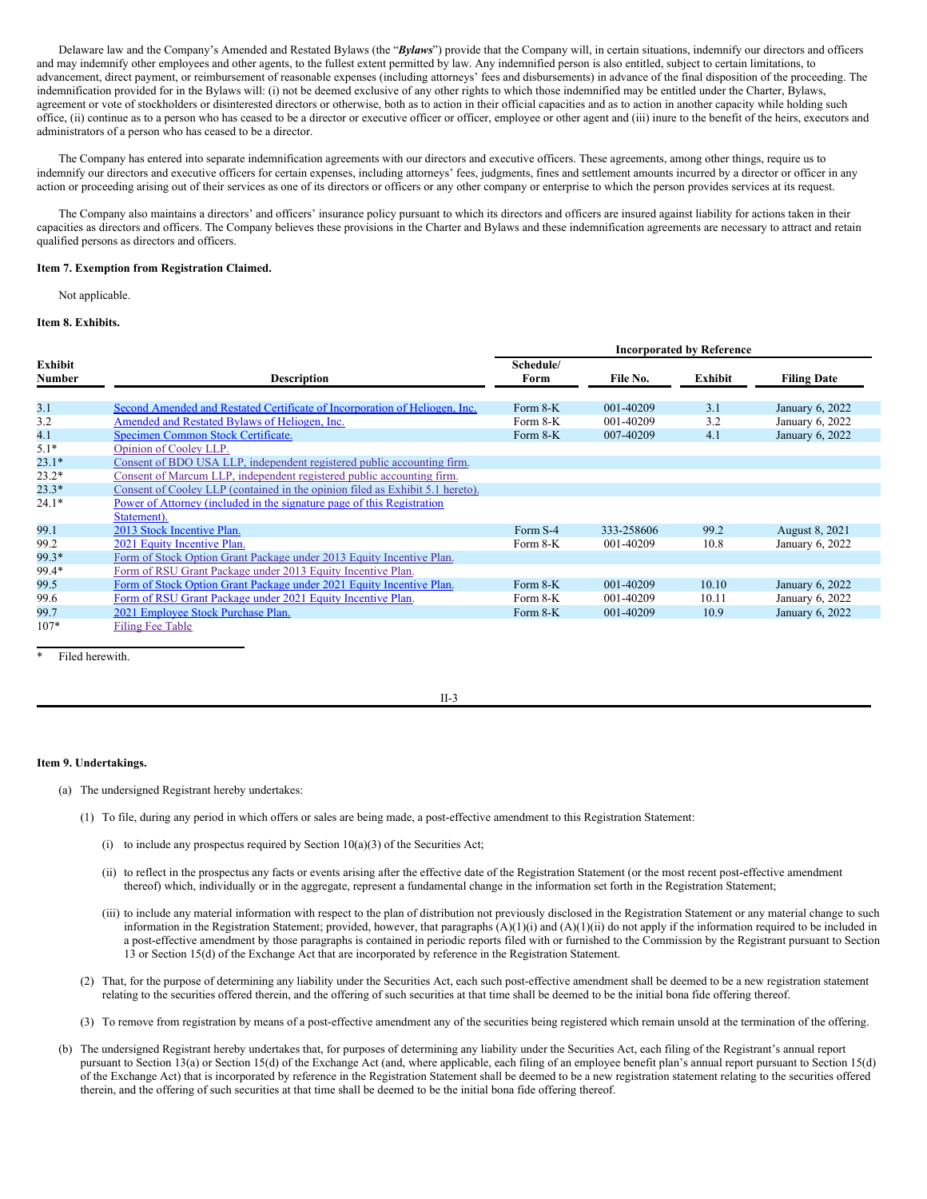Delaware law and the Company's Amended and Restated Bylaws (the "*Bylaws*") provide that the Company will, in certain situations, indemnify our directors and officers and may indemnify other employees and other agents, to the fullest extent permitted by law. Any indemnified person is also entitled, subject to certain limitations, to advancement, direct payment, or reimbursement of reasonable expenses (including attorneys' fees and disbursements) in advance of the final disposition of the proceeding. The indemnification provided for in the Bylaws will: (i) not be deemed exclusive of any other rights to which those indemnified may be entitled under the Charter, Bylaws, agreement or vote of stockholders or disinterested directors or otherwise, both as to action in their official capacities and as to action in another capacity while holding such office, (ii) continue as to a person who has ceased to be a director or executive officer or officer, employee or other agent and (iii) inure to the benefit of the heirs, executors and administrators of a person who has ceased to be a director.

The Company has entered into separate indemnification agreements with our directors and executive officers. These agreements, among other things, require us to indemnify our directors and executive officers for certain expenses, including attorneys' fees, judgments, fines and settlement amounts incurred by a director or officer in any action or proceeding arising out of their services as one of its directors or officers or any other company or enterprise to which the person provides services at its request.

The Company also maintains a directors' and officers' insurance policy pursuant to which its directors and officers are insured against liability for actions taken in their capacities as directors and officers. The Company believes these provisions in the Charter and Bylaws and these indemnification agreements are necessary to attract and retain qualified persons as directors and officers.

#### **Item 7. Exemption from Registration Claimed.**

Not applicable.

## **Item 8. Exhibits.**

|                          |                                                                               | <b>Incorporated by Reference</b> |            |         |                    |
|--------------------------|-------------------------------------------------------------------------------|----------------------------------|------------|---------|--------------------|
| Exhibit<br><b>Number</b> | <b>Description</b>                                                            | Schedule/<br>Form                | File No.   | Exhibit | <b>Filing Date</b> |
| 3.1                      | Second Amended and Restated Certificate of Incorporation of Heliogen, Inc.    | Form 8-K                         | 001-40209  | 3.1     | January 6, 2022    |
| 3.2                      | Amended and Restated Bylaws of Heliogen, Inc.                                 | Form $8-K$                       | 001-40209  | 3.2     | January 6, 2022    |
| 4.1                      | Specimen Common Stock Certificate.                                            | Form $8-K$                       | 007-40209  | 4.1     | January 6, 2022    |
| $5.1*$                   | Opinion of Cooley LLP.                                                        |                                  |            |         |                    |
| $23.1*$                  | Consent of BDO USA LLP, independent registered public accounting firm.        |                                  |            |         |                    |
| $23.2*$                  | Consent of Marcum LLP, independent registered public accounting firm.         |                                  |            |         |                    |
| $23.3*$                  | Consent of Cooley LLP (contained in the opinion filed as Exhibit 5.1 hereto). |                                  |            |         |                    |
| $24.1*$                  | Power of Attorney (included in the signature page of this Registration        |                                  |            |         |                    |
| 99.1                     | Statement).<br>2013 Stock Incentive Plan.                                     | Form S-4                         | 333-258606 | 99.2    | August 8, 2021     |
| 99.2                     | 2021 Equity Incentive Plan.                                                   | Form 8-K                         | 001-40209  | 10.8    | January 6, 2022    |
| 99.3*                    | Form of Stock Option Grant Package under 2013 Equity Incentive Plan.          |                                  |            |         |                    |
| 99.4*                    | Form of RSU Grant Package under 2013 Equity Incentive Plan.                   |                                  |            |         |                    |
| 99.5                     | Form of Stock Option Grant Package under 2021 Equity Incentive Plan.          | Form $8-K$                       | 001-40209  | 10.10   | January 6, 2022    |
| 99.6                     | Form of RSU Grant Package under 2021 Equity Incentive Plan.                   | Form 8-K                         | 001-40209  | 10.11   | January 6, 2022    |
| 99.7                     | 2021 Employee Stock Purchase Plan.                                            | Form 8-K                         | 001-40209  | 10.9    | January 6, 2022    |
| $107*$                   | <b>Filing Fee Table</b>                                                       |                                  |            |         |                    |

Filed herewith.

II-3

## **Item 9. Undertakings.**

- (a) The undersigned Registrant hereby undertakes:
	- (1) To file, during any period in which offers or sales are being made, a post-effective amendment to this Registration Statement:
		- (i) to include any prospectus required by Section  $10(a)(3)$  of the Securities Act;
		- (ii) to reflect in the prospectus any facts or events arising after the effective date of the Registration Statement (or the most recent post-effective amendment thereof) which, individually or in the aggregate, represent a fundamental change in the information set forth in the Registration Statement;
		- (iii) to include any material information with respect to the plan of distribution not previously disclosed in the Registration Statement or any material change to such information in the Registration Statement; provided, however, that paragraphs  $(A)(1)(i)$  and  $(A)(1)(ii)$  do not apply if the information required to be included in a post-effective amendment by those paragraphs is contained in periodic reports filed with or furnished to the Commission by the Registrant pursuant to Section 13 or Section 15(d) of the Exchange Act that are incorporated by reference in the Registration Statement.
	- (2) That, for the purpose of determining any liability under the Securities Act, each such post-effective amendment shall be deemed to be a new registration statement relating to the securities offered therein, and the offering of such securities at that time shall be deemed to be the initial bona fide offering thereof.
	- (3) To remove from registration by means of a post-effective amendment any of the securities being registered which remain unsold at the termination of the offering.
- (b) The undersigned Registrant hereby undertakes that, for purposes of determining any liability under the Securities Act, each filing of the Registrant's annual report pursuant to Section 13(a) or Section 15(d) of the Exchange Act (and, where applicable, each filing of an employee benefit plan's annual report pursuant to Section 15(d) of the Exchange Act) that is incorporated by reference in the Registration Statement shall be deemed to be a new registration statement relating to the securities offered therein, and the offering of such securities at that time shall be deemed to be the initial bona fide offering thereof.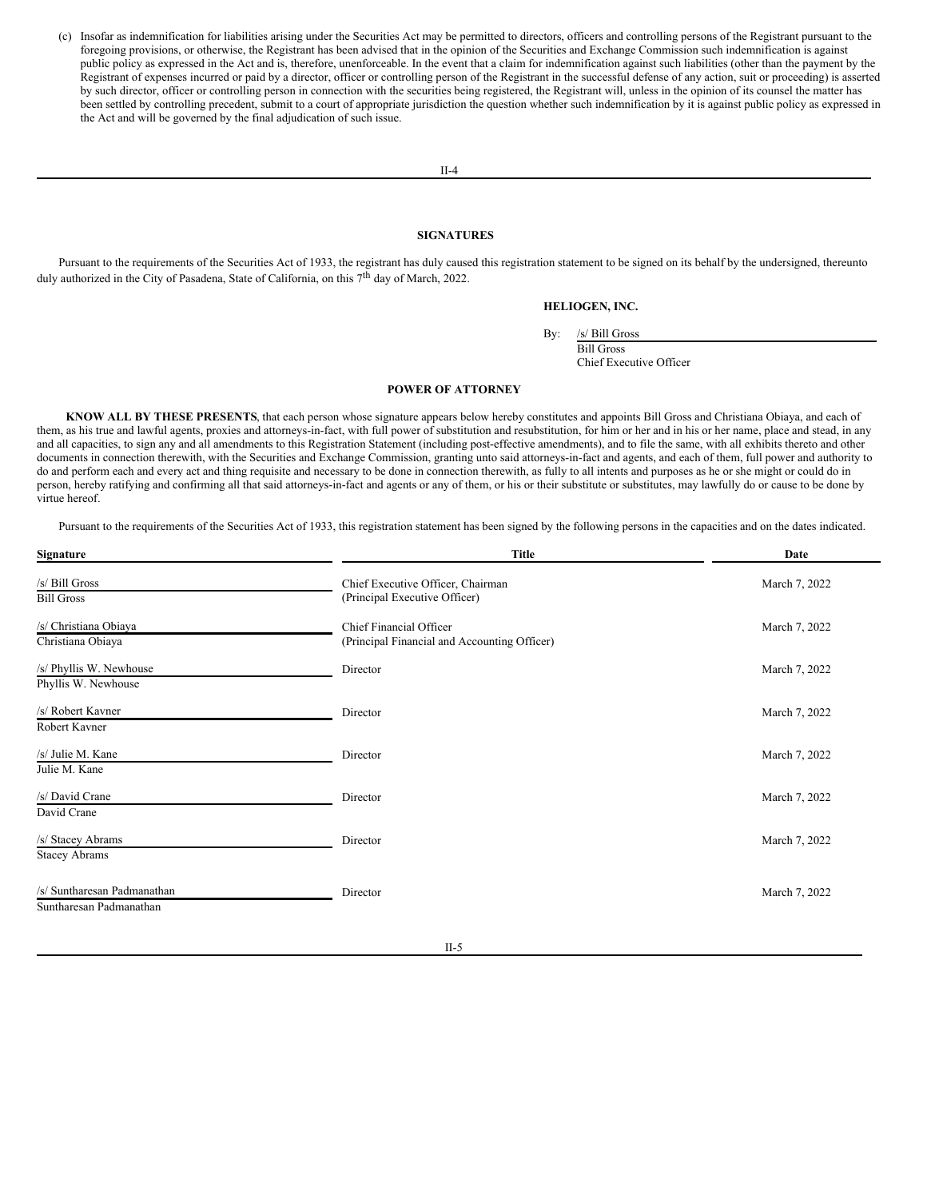(c) Insofar as indemnification for liabilities arising under the Securities Act may be permitted to directors, officers and controlling persons of the Registrant pursuant to the foregoing provisions, or otherwise, the Registrant has been advised that in the opinion of the Securities and Exchange Commission such indemnification is against public policy as expressed in the Act and is, therefore, unenforceable. In the event that a claim for indemnification against such liabilities (other than the payment by the Registrant of expenses incurred or paid by a director, officer or controlling person of the Registrant in the successful defense of any action, suit or proceeding) is asserted by such director, officer or controlling person in connection with the securities being registered, the Registrant will, unless in the opinion of its counsel the matter has been settled by controlling precedent, submit to a court of appropriate jurisdiction the question whether such indemnification by it is against public policy as expressed in the Act and will be governed by the final adjudication of such issue.

#### II-4

#### <span id="page-3-0"></span>**SIGNATURES**

Pursuant to the requirements of the Securities Act of 1933, the registrant has duly caused this registration statement to be signed on its behalf by the undersigned, thereunto duly authorized in the City of Pasadena, State of California, on this 7<sup>th</sup> day of March, 2022.

#### **HELIOGEN, INC.**

By: /s/ Bill Gross

Bill Gross Chief Executive Officer

#### **POWER OF ATTORNEY**

**KNOW ALL BY THESE PRESENTS**, that each person whose signature appears below hereby constitutes and appoints Bill Gross and Christiana Obiaya, and each of them, as his true and lawful agents, proxies and attorneys-in-fact, with full power of substitution and resubstitution, for him or her and in his or her name, place and stead, in any and all capacities, to sign any and all amendments to this Registration Statement (including post-effective amendments), and to file the same, with all exhibits thereto and other documents in connection therewith, with the Securities and Exchange Commission, granting unto said attorneys-in-fact and agents, and each of them, full power and authority to do and perform each and every act and thing requisite and necessary to be done in connection therewith, as fully to all intents and purposes as he or she might or could do in person, hereby ratifying and confirming all that said attorneys-in-fact and agents or any of them, or his or their substitute or substitutes, may lawfully do or cause to be done by virtue hereof.

Pursuant to the requirements of the Securities Act of 1933, this registration statement has been signed by the following persons in the capacities and on the dates indicated.

| Signature                                              | <b>Title</b>                                                            | Date          |  |
|--------------------------------------------------------|-------------------------------------------------------------------------|---------------|--|
| /s/ Bill Gross<br><b>Bill Gross</b>                    | Chief Executive Officer, Chairman<br>(Principal Executive Officer)      | March 7, 2022 |  |
| /s/ Christiana Obiaya<br>Christiana Obiaya             | Chief Financial Officer<br>(Principal Financial and Accounting Officer) | March 7, 2022 |  |
| /s/ Phyllis W. Newhouse<br>Phyllis W. Newhouse         | Director                                                                | March 7, 2022 |  |
| /s/ Robert Kavner<br>Robert Kavner                     | Director                                                                | March 7, 2022 |  |
| /s/ Julie M. Kane<br>Julie M. Kane                     | Director                                                                | March 7, 2022 |  |
| /s/ David Crane<br>David Crane                         | Director                                                                | March 7, 2022 |  |
| /s/ Stacey Abrams<br><b>Stacey Abrams</b>              | Director                                                                | March 7, 2022 |  |
| /s/ Suntharesan Padmanathan<br>Suntharesan Padmanathan | Director                                                                | March 7, 2022 |  |

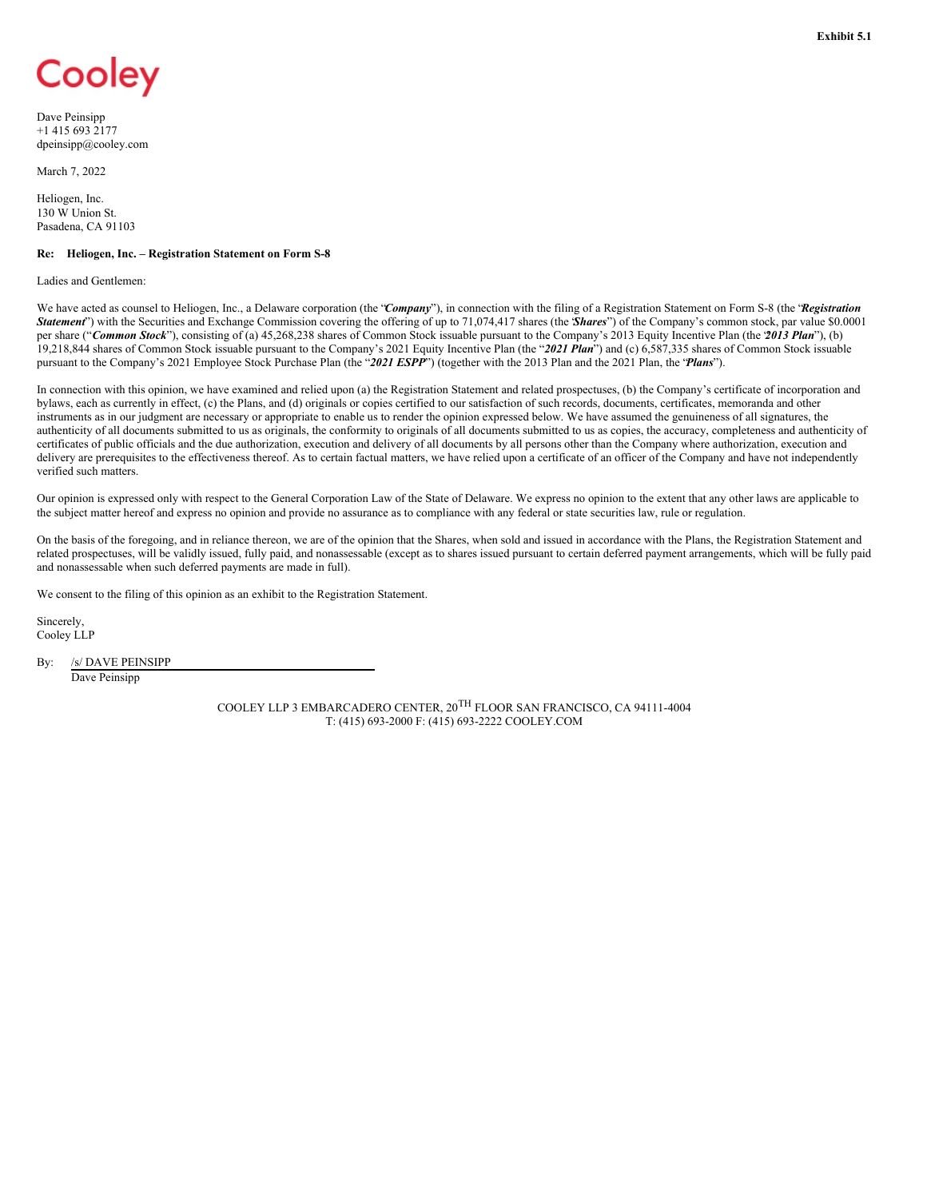# <span id="page-4-0"></span>Cooley

Dave Peinsipp +1 415 693 2177 dpeinsipp@cooley.com

March 7, 2022

Heliogen, Inc. 130 W Union St. Pasadena, CA 91103

#### **Re: Heliogen, Inc. – Registration Statement on Form S-8**

Ladies and Gentlemen:

We have acted as counsel to Heliogen, Inc., a Delaware corporation (the "Company"), in connection with the filing of a Registration Statement on Form S-8 (the 'Registration *Statement*") with the Securities and Exchange Commission covering the offering of up to 71,074,417 shares (the "*Shares*") of the Company's common stock, par value \$0.0001 per share ("*Common Stock*"), consisting of (a) 45,268,238 shares of Common Stock issuable pursuant to the Company's 2013 Equity Incentive Plan (the "*2013 Plan*"), (b) 19,218,844 shares of Common Stock issuable pursuant to the Company's 2021 Equity Incentive Plan (the "*2021 Plan*") and (c) 6,587,335 shares of Common Stock issuable pursuant to the Company's 2021 Employee Stock Purchase Plan (the "*2021 ESPP*") (together with the 2013 Plan and the 2021 Plan, the "*Plans*").

In connection with this opinion, we have examined and relied upon (a) the Registration Statement and related prospectuses, (b) the Company's certificate of incorporation and bylaws, each as currently in effect, (c) the Plans, and (d) originals or copies certified to our satisfaction of such records, documents, certificates, memoranda and other instruments as in our judgment are necessary or appropriate to enable us to render the opinion expressed below. We have assumed the genuineness of all signatures, the authenticity of all documents submitted to us as originals, the conformity to originals of all documents submitted to us as copies, the accuracy, completeness and authenticity of certificates of public officials and the due authorization, execution and delivery of all documents by all persons other than the Company where authorization, execution and delivery are prerequisites to the effectiveness thereof. As to certain factual matters, we have relied upon a certificate of an officer of the Company and have not independently verified such matters.

Our opinion is expressed only with respect to the General Corporation Law of the State of Delaware. We express no opinion to the extent that any other laws are applicable to the subject matter hereof and express no opinion and provide no assurance as to compliance with any federal or state securities law, rule or regulation.

On the basis of the foregoing, and in reliance thereon, we are of the opinion that the Shares, when sold and issued in accordance with the Plans, the Registration Statement and related prospectuses, will be validly issued, fully paid, and nonassessable (except as to shares issued pursuant to certain deferred payment arrangements, which will be fully paid and nonassessable when such deferred payments are made in full).

We consent to the filing of this opinion as an exhibit to the Registration Statement.

Sincerely, Cooley LLP

By: /s/ DAVE PEINSIPP Dave Peinsipp

> COOLEY LLP 3 EMBARCADERO CENTER, 20TH FLOOR SAN FRANCISCO, CA 94111-4004 T: (415) 693-2000 F: (415) 693-2222 COOLEY.COM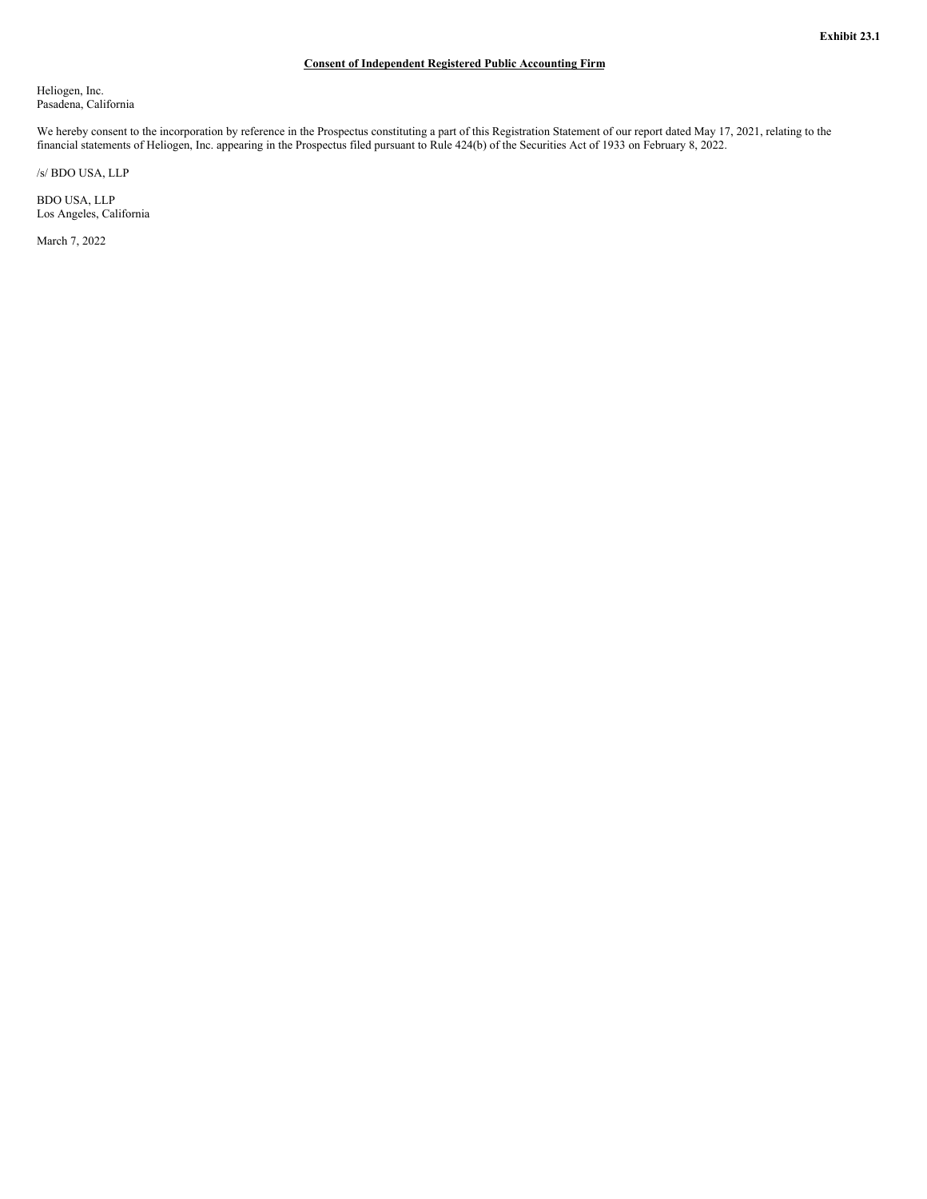## **Consent of Independent Registered Public Accounting Firm**

<span id="page-5-0"></span>Heliogen, Inc. Pasadena, California

We hereby consent to the incorporation by reference in the Prospectus constituting a part of this Registration Statement of our report dated May 17, 2021, relating to the financial statements of Heliogen, Inc. appearing in the Prospectus filed pursuant to Rule 424(b) of the Securities Act of 1933 on February 8, 2022.

/s/ BDO USA, LLP

BDO USA, LLP Los Angeles, California

March 7, 2022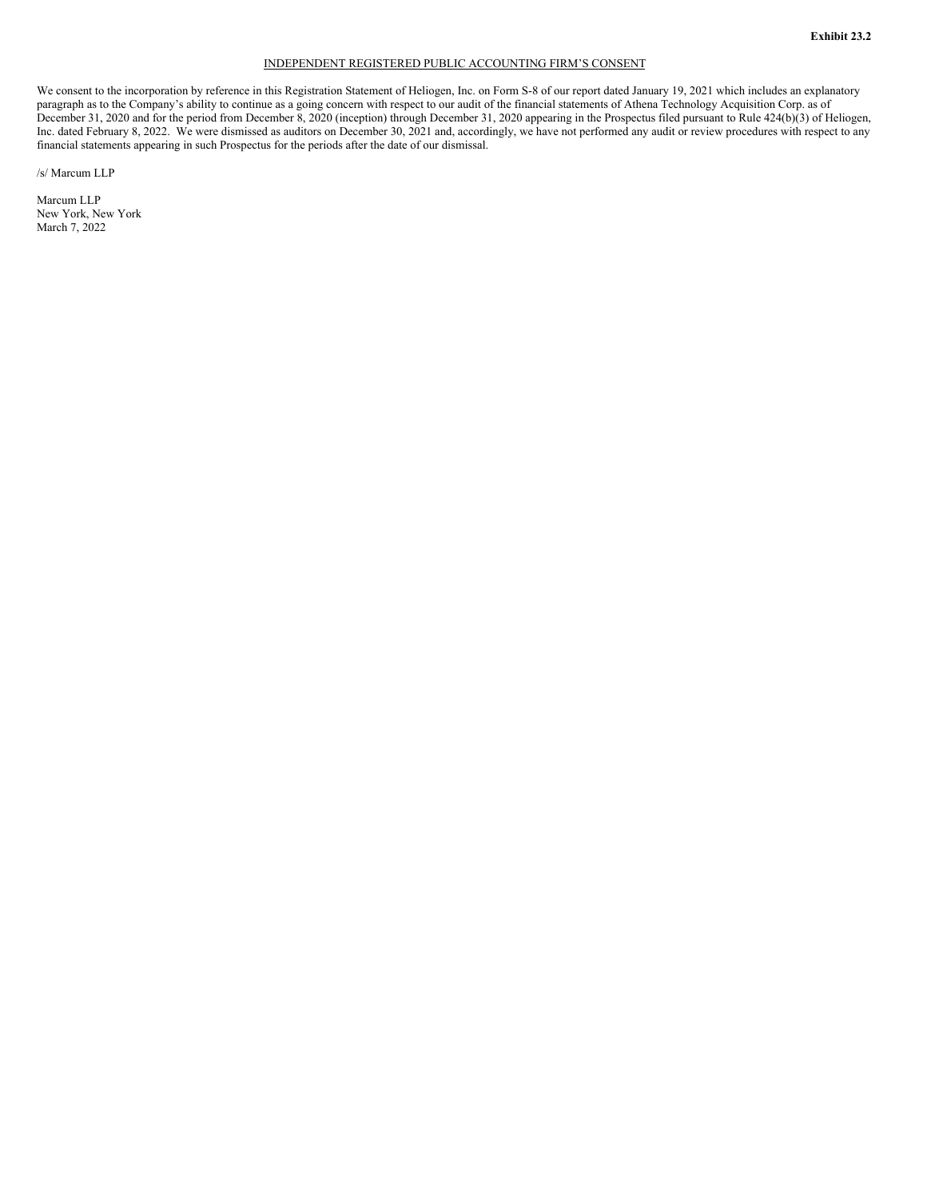#### INDEPENDENT REGISTERED PUBLIC ACCOUNTING FIRM'S CONSENT

<span id="page-6-0"></span>We consent to the incorporation by reference in this Registration Statement of Heliogen, Inc. on Form S-8 of our report dated January 19, 2021 which includes an explanatory paragraph as to the Company's ability to continue as a going concern with respect to our audit of the financial statements of Athena Technology Acquisition Corp. as of December 31, 2020 and for the period from December 8, 2020 (inception) through December 31, 2020 appearing in the Prospectus filed pursuant to Rule 424(b)(3) of Heliogen, Inc. dated February 8, 2022. We were dismissed as auditors on December 30, 2021 and, accordingly, we have not performed any audit or review procedures with respect to any financial statements appearing in such Prospectus for the periods after the date of our dismissal.

/s/ Marcum LLP

Marcum LLP New York, New York March 7, 2022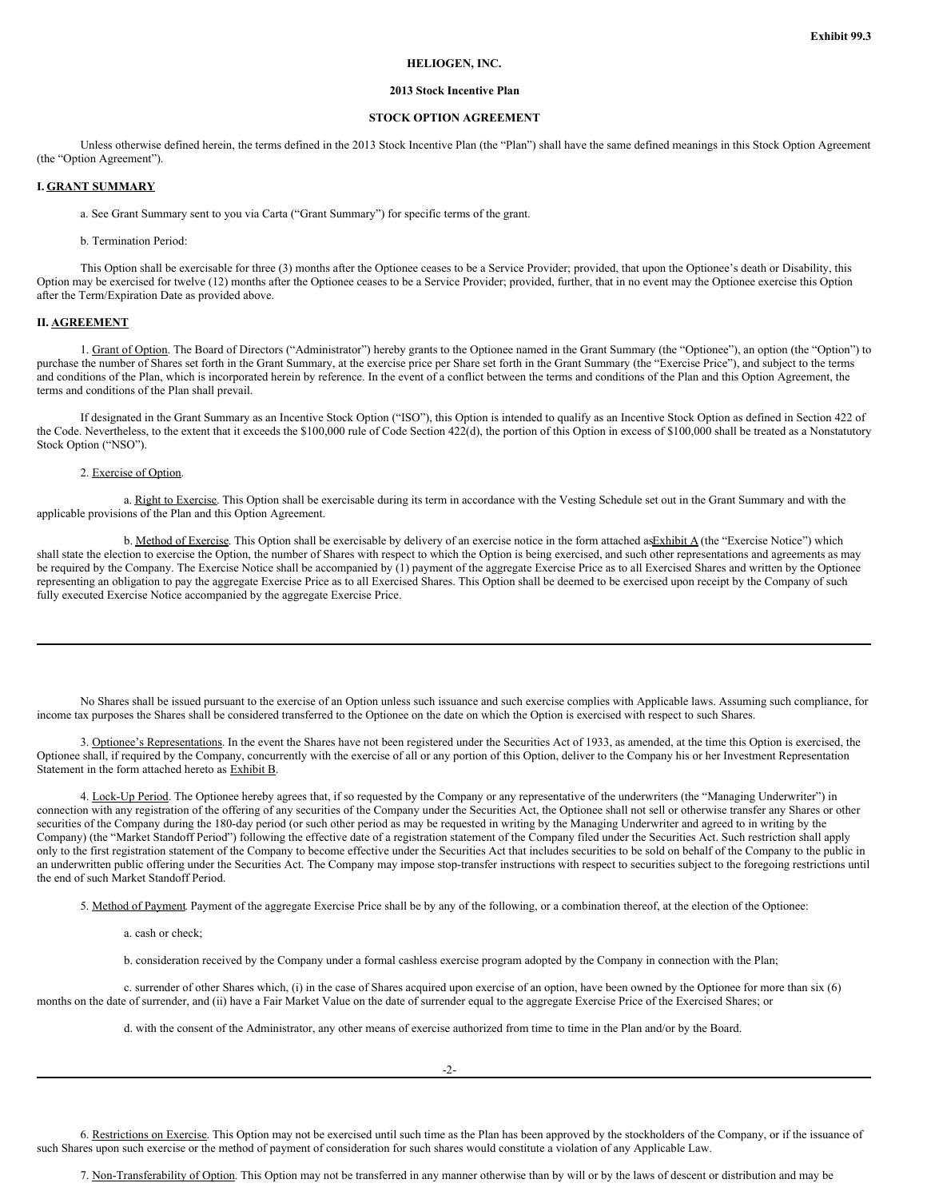#### **HELIOGEN, INC.**

#### **2013 Stock Incentive Plan**

## **STOCK OPTION AGREEMENT**

Unless otherwise defined herein, the terms defined in the 2013 Stock Incentive Plan (the "Plan") shall have the same defined meanings in this Stock Option Agreement (the "Option Agreement").

#### **I. GRANT SUMMARY**

a. See Grant Summary sent to you via Carta ("Grant Summary") for specific terms of the grant.

#### b. Termination Period:

This Option shall be exercisable for three (3) months after the Optionee ceases to be a Service Provider; provided, that upon the Optionee's death or Disability, this Option may be exercised for twelve (12) months after the Optionee ceases to be a Service Provider; provided, further, that in no event may the Optionee exercise this Option after the Term/Expiration Date as provided above.

#### **II. AGREEMENT**

1. Grant of Option. The Board of Directors ("Administrator") hereby grants to the Optionee named in the Grant Summary (the "Optionee"), an option (the "Option") to purchase the number of Shares set forth in the Grant Summary, at the exercise price per Share set forth in the Grant Summary (the "Exercise Price"), and subject to the terms and conditions of the Plan, which is incorporated herein by reference. In the event of a conflict between the terms and conditions of the Plan and this Option Agreement, the terms and conditions of the Plan shall prevail.

If designated in the Grant Summary as an Incentive Stock Option ("ISO"), this Option is intended to qualify as an Incentive Stock Option as defined in Section 422 of the Code. Nevertheless, to the extent that it exceeds the \$100,000 rule of Code Section 422(d), the portion of this Option in excess of \$100,000 shall be treated as a Nonstatutory Stock Option ("NSO").

## 2. Exercise of Option.

a. Right to Exercise. This Option shall be exercisable during its term in accordance with the Vesting Schedule set out in the Grant Summary and with the applicable provisions of the Plan and this Option Agreement.

b. Method of Exercise. This Option shall be exercisable by delivery of an exercise notice in the form attached as $\frac{Exhibit A}{(the "Exercise Notice")}$  which shall state the election to exercise the Option, the number of Shares with respect to which the Option is being exercised, and such other representations and agreements as may be required by the Company. The Exercise Notice shall be accompanied by (1) payment of the aggregate Exercise Price as to all Exercised Shares and written by the Optionee representing an obligation to pay the aggregate Exercise Price as to all Exercised Shares. This Option shall be deemed to be exercised upon receipt by the Company of such fully executed Exercise Notice accompanied by the aggregate Exercise Price.

No Shares shall be issued pursuant to the exercise of an Option unless such issuance and such exercise complies with Applicable laws. Assuming such compliance, for income tax purposes the Shares shall be considered transferred to the Optionee on the date on which the Option is exercised with respect to such Shares.

3. Optionee's Representations. In the event the Shares have not been registered under the Securities Act of 1933, as amended, at the time this Option is exercised, the Optionee shall, if required by the Company, concurrently with the exercise of all or any portion of this Option, deliver to the Company his or her Investment Representation Statement in the form attached hereto as Exhibit B.

4. Lock-Up Period. The Optionee hereby agrees that, if so requested by the Company or any representative of the underwriters (the "Managing Underwriter") in connection with any registration of the offering of any securities of the Company under the Securities Act, the Optionee shall not sell or otherwise transfer any Shares or other securities of the Company during the 180-day period (or such other period as may be requested in writing by the Managing Underwriter and agreed to in writing by the Company) (the "Market Standoff Period") following the effective date of a registration statement of the Company filed under the Securities Act. Such restriction shall apply only to the first registration statement of the Company to become effective under the Securities Act that includes securities to be sold on behalf of the Company to the public in an underwritten public offering under the Securities Act. The Company may impose stop-transfer instructions with respect to securities subject to the foregoing restrictions until the end of such Market Standoff Period.

5. Method of Payment. Payment of the aggregate Exercise Price shall be by any of the following, or a combination thereof, at the election of the Optionee:

a. cash or check;

b. consideration received by the Company under a formal cashless exercise program adopted by the Company in connection with the Plan;

c. surrender of other Shares which, (i) in the case of Shares acquired upon exercise of an option, have been owned by the Optionee for more than six (6) months on the date of surrender, and (ii) have a Fair Market Value on the date of surrender equal to the aggregate Exercise Price of the Exercised Shares; or

d. with the consent of the Administrator, any other means of exercise authorized from time to time in the Plan and/or by the Board.

6. Restrictions on Exercise. This Option may not be exercised until such time as the Plan has been approved by the stockholders of the Company, or if the issuance of such Shares upon such exercise or the method of payment of consideration for such shares would constitute a violation of any Applicable Law.

7. Non-Transferability of Option. This Option may not be transferred in any manner otherwise than by will or by the laws of descent or distribution and may be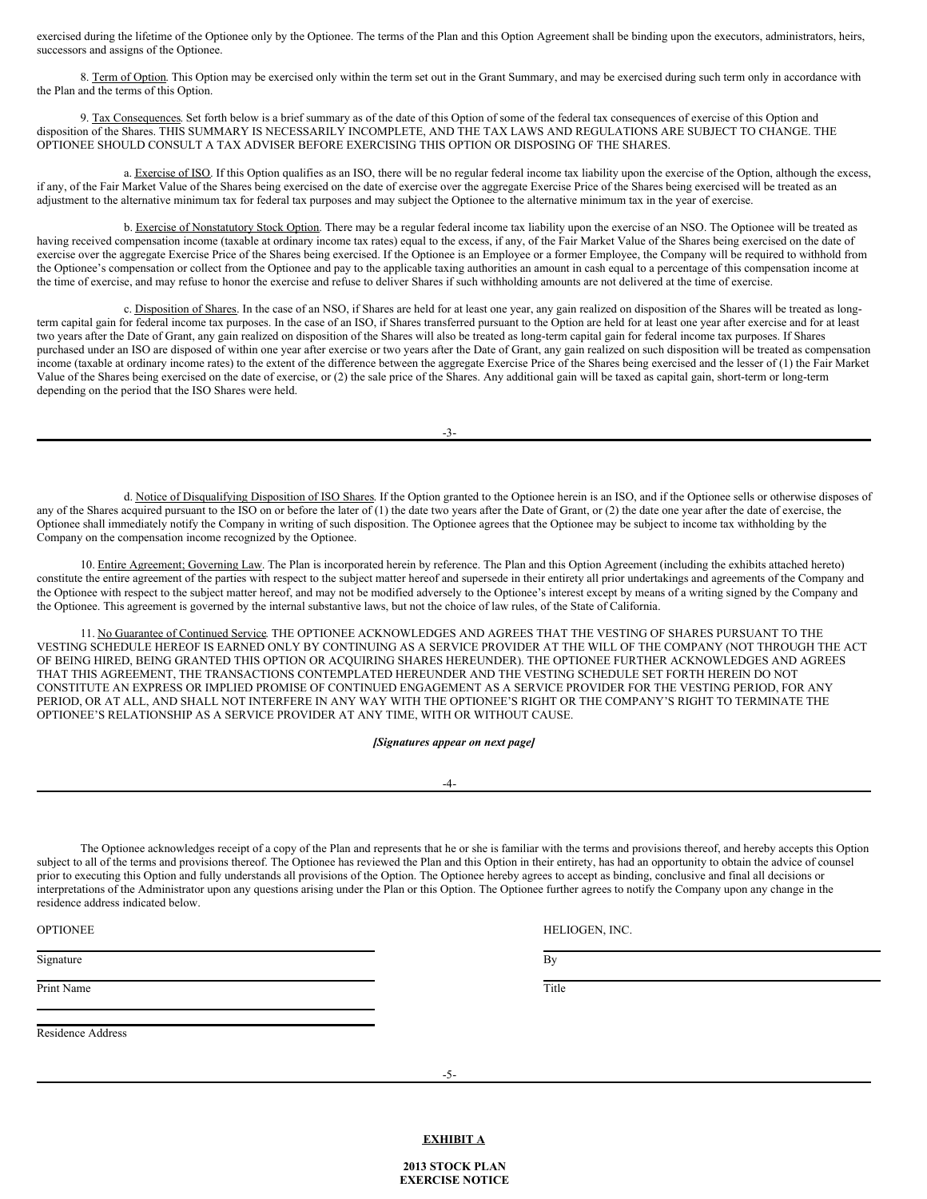exercised during the lifetime of the Optionee only by the Optionee. The terms of the Plan and this Option Agreement shall be binding upon the executors, administrators, heirs, successors and assigns of the Optionee.

8. Term of Option. This Option may be exercised only within the term set out in the Grant Summary, and may be exercised during such term only in accordance with the Plan and the terms of this Option.

9. Tax Consequences. Set forth below is a brief summary as of the date of this Option of some of the federal tax consequences of exercise of this Option and disposition of the Shares. THIS SUMMARY IS NECESSARILY INCOMPLETE, AND THE TAX LAWS AND REGULATIONS ARE SUBJECT TO CHANGE. THE OPTIONEE SHOULD CONSULT A TAX ADVISER BEFORE EXERCISING THIS OPTION OR DISPOSING OF THE SHARES.

a. Exercise of ISO. If this Option qualifies as an ISO, there will be no regular federal income tax liability upon the exercise of the Option, although the excess, if any, of the Fair Market Value of the Shares being exercised on the date of exercise over the aggregate Exercise Price of the Shares being exercised will be treated as an adjustment to the alternative minimum tax for federal tax purposes and may subject the Optionee to the alternative minimum tax in the year of exercise.

b. Exercise of Nonstatutory Stock Option. There may be a regular federal income tax liability upon the exercise of an NSO. The Optionee will be treated as having received compensation income (taxable at ordinary income tax rates) equal to the excess, if any, of the Fair Market Value of the Shares being exercised on the date of exercise over the aggregate Exercise Price of the Shares being exercised. If the Optionee is an Employee or a former Employee, the Company will be required to withhold from the Optionee's compensation or collect from the Optionee and pay to the applicable taxing authorities an amount in cash equal to a percentage of this compensation income at the time of exercise, and may refuse to honor the exercise and refuse to deliver Shares if such withholding amounts are not delivered at the time of exercise.

c. Disposition of Shares. In the case of an NSO, if Shares are held for at least one year, any gain realized on disposition of the Shares will be treated as longterm capital gain for federal income tax purposes. In the case of an ISO, if Shares transferred pursuant to the Option are held for at least one year after exercise and for at least two years after the Date of Grant, any gain realized on disposition of the Shares will also be treated as long-term capital gain for federal income tax purposes. If Shares purchased under an ISO are disposed of within one year after exercise or two years after the Date of Grant, any gain realized on such disposition will be treated as compensation income (taxable at ordinary income rates) to the extent of the difference between the aggregate Exercise Price of the Shares being exercised and the lesser of (1) the Fair Market Value of the Shares being exercised on the date of exercise, or (2) the sale price of the Shares. Any additional gain will be taxed as capital gain, short-term or long-term depending on the period that the ISO Shares were held.

-3-

d. Notice of Disqualifying Disposition of ISO Shares. If the Option granted to the Optionee herein is an ISO, and if the Optionee sells or otherwise disposes of any of the Shares acquired pursuant to the ISO on or before the later of (1) the date two years after the Date of Grant, or (2) the date one year after the date of exercise, the Optionee shall immediately notify the Company in writing of such disposition. The Optionee agrees that the Optionee may be subject to income tax withholding by the Company on the compensation income recognized by the Optionee.

10. Entire Agreement; Governing Law. The Plan is incorporated herein by reference. The Plan and this Option Agreement (including the exhibits attached hereto) constitute the entire agreement of the parties with respect to the subject matter hereof and supersede in their entirety all prior undertakings and agreements of the Company and the Optionee with respect to the subject matter hereof, and may not be modified adversely to the Optionee's interest except by means of a writing signed by the Company and the Optionee. This agreement is governed by the internal substantive laws, but not the choice of law rules, of the State of California.

11. No Guarantee of Continued Service. THE OPTIONEE ACKNOWLEDGES AND AGREES THAT THE VESTING OF SHARES PURSUANT TO THE VESTING SCHEDULE HEREOF IS EARNED ONLY BY CONTINUING AS A SERVICE PROVIDER AT THE WILL OF THE COMPANY (NOT THROUGH THE ACT OF BEING HIRED, BEING GRANTED THIS OPTION OR ACQUIRING SHARES HEREUNDER). THE OPTIONEE FURTHER ACKNOWLEDGES AND AGREES THAT THIS AGREEMENT, THE TRANSACTIONS CONTEMPLATED HEREUNDER AND THE VESTING SCHEDULE SET FORTH HEREIN DO NOT CONSTITUTE AN EXPRESS OR IMPLIED PROMISE OF CONTINUED ENGAGEMENT AS A SERVICE PROVIDER FOR THE VESTING PERIOD, FOR ANY PERIOD, OR AT ALL, AND SHALL NOT INTERFERE IN ANY WAY WITH THE OPTIONEE'S RIGHT OR THE COMPANY'S RIGHT TO TERMINATE THE OPTIONEE'S RELATIONSHIP AS A SERVICE PROVIDER AT ANY TIME, WITH OR WITHOUT CAUSE.

*[Signatures appear on next page]*

-4-

The Optionee acknowledges receipt of a copy of the Plan and represents that he or she is familiar with the terms and provisions thereof, and hereby accepts this Option subject to all of the terms and provisions thereof. The Optionee has reviewed the Plan and this Option in their entirety, has had an opportunity to obtain the advice of counsel prior to executing this Option and fully understands all provisions of the Option. The Optionee hereby agrees to accept as binding, conclusive and final all decisions or interpretations of the Administrator upon any questions arising under the Plan or this Option. The Optionee further agrees to notify the Company upon any change in the residence address indicated below.

OPTIONEE HELIOGEN, INC.

Signature By Systems and the Bystems and the Bystems and the Bystems and the Bystems and Bystems and Bystems and Bystems and Bystems and Bystems and Bystems and Bystems and Bystems and Bystems and Bystems and Bystems and B

Print Name Title **The Community Community** Service Community Community Community Community Community Community Community Community Community Community Community Community Community Community Community Community Community C

Residence Address

**EXHIBIT A**

**2013 STOCK PLAN EXERCISE NOTICE**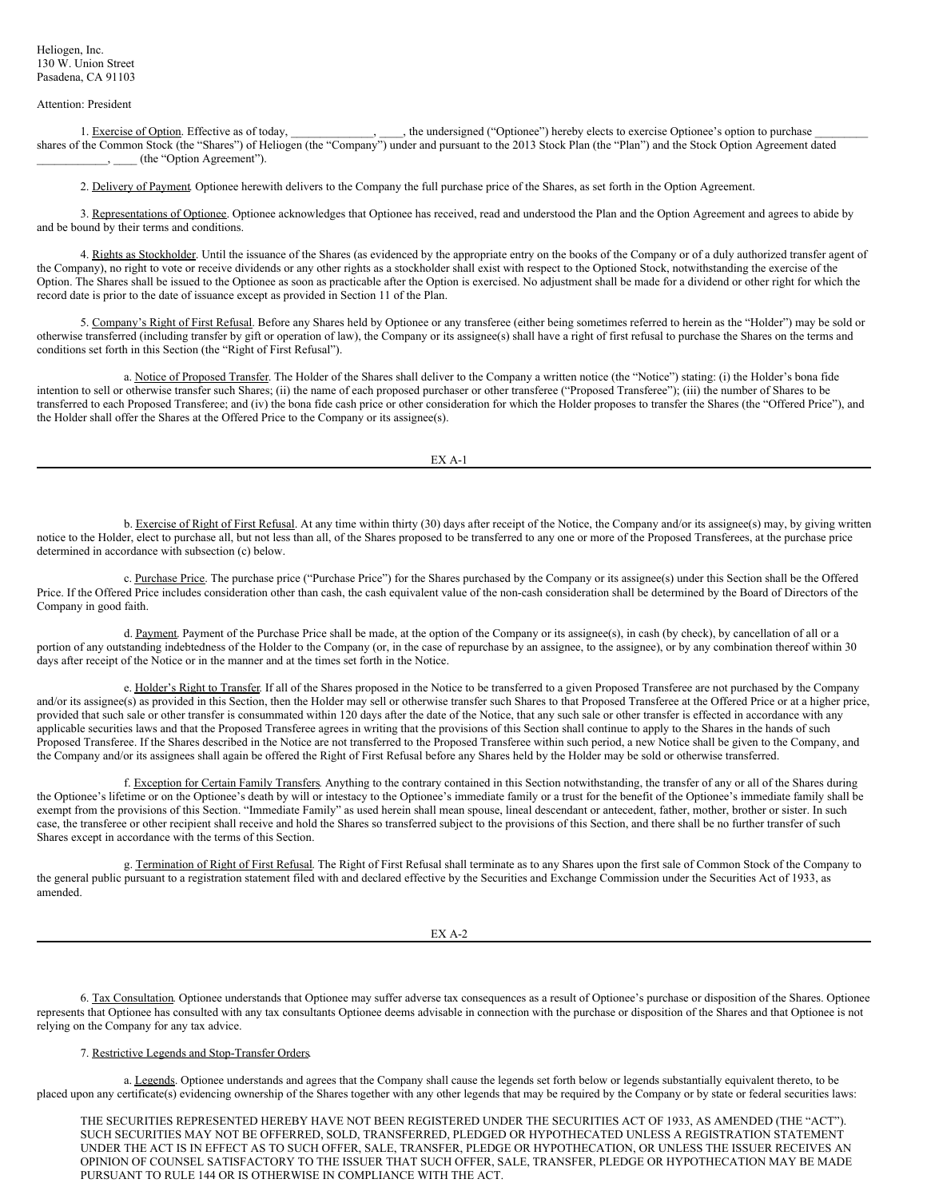#### <span id="page-9-0"></span>Attention: President

1. Exercise of Option. Effective as of today, \_\_\_\_\_\_\_\_\_\_\_, the undersigned ("Optionee") hereby elects to exercise Optionee's option to purchase shares of the Common Stock (the "Shares") of Heliogen (the "Company") under and pursuant to the 2013 Stock Plan (the "Plan") and the Stock Option Agreement dated \_\_\_\_\_\_\_\_\_\_\_\_, \_\_\_\_ (the "Option Agreement").

2. Delivery of Payment. Optionee herewith delivers to the Company the full purchase price of the Shares, as set forth in the Option Agreement.

3. Representations of Optionee. Optionee acknowledges that Optionee has received, read and understood the Plan and the Option Agreement and agrees to abide by and be bound by their terms and conditions.

4. Rights as Stockholder. Until the issuance of the Shares (as evidenced by the appropriate entry on the books of the Company or of a duly authorized transfer agent of the Company), no right to vote or receive dividends or any other rights as a stockholder shall exist with respect to the Optioned Stock, notwithstanding the exercise of the Option. The Shares shall be issued to the Optionee as soon as practicable after the Option is exercised. No adjustment shall be made for a dividend or other right for which the record date is prior to the date of issuance except as provided in Section 11 of the Plan.

5. Company's Right of First Refusal. Before any Shares held by Optionee or any transferee (either being sometimes referred to herein as the "Holder") may be sold or otherwise transferred (including transfer by gift or operation of law), the Company or its assignee(s) shall have a right of first refusal to purchase the Shares on the terms and conditions set forth in this Section (the "Right of First Refusal").

a. Notice of Proposed Transfer. The Holder of the Shares shall deliver to the Company a written notice (the "Notice") stating: (i) the Holder's bona fide intention to sell or otherwise transfer such Shares; (ii) the name of each proposed purchaser or other transferee ("Proposed Transferee"); (iii) the number of Shares to be transferred to each Proposed Transferee; and (iv) the bona fide cash price or other consideration for which the Holder proposes to transfer the Shares (the "Offered Price"), and the Holder shall offer the Shares at the Offered Price to the Company or its assignee(s).

EX A-1

b. Exercise of Right of First Refusal. At any time within thirty (30) days after receipt of the Notice, the Company and/or its assignee(s) may, by giving written notice to the Holder, elect to purchase all, but not less than all, of the Shares proposed to be transferred to any one or more of the Proposed Transferees, at the purchase price determined in accordance with subsection (c) below.

c. Purchase Price. The purchase price ("Purchase Price") for the Shares purchased by the Company or its assignee(s) under this Section shall be the Offered Price. If the Offered Price includes consideration other than cash, the cash equivalent value of the non-cash consideration shall be determined by the Board of Directors of the Company in good faith.

d. Payment. Payment of the Purchase Price shall be made, at the option of the Company or its assignee(s), in cash (by check), by cancellation of all or a portion of any outstanding indebtedness of the Holder to the Company (or, in the case of repurchase by an assignee, to the assignee), or by any combination thereof within 30 days after receipt of the Notice or in the manner and at the times set forth in the Notice.

e. Holder's Right to Transfer. If all of the Shares proposed in the Notice to be transferred to a given Proposed Transferee are not purchased by the Company and/or its assignee(s) as provided in this Section, then the Holder may sell or otherwise transfer such Shares to that Proposed Transferee at the Offered Price or at a higher price, provided that such sale or other transfer is consummated within 120 days after the date of the Notice, that any such sale or other transfer is effected in accordance with any applicable securities laws and that the Proposed Transferee agrees in writing that the provisions of this Section shall continue to apply to the Shares in the hands of such Proposed Transferee. If the Shares described in the Notice are not transferred to the Proposed Transferee within such period, a new Notice shall be given to the Company, and the Company and/or its assignees shall again be offered the Right of First Refusal before any Shares held by the Holder may be sold or otherwise transferred.

f. Exception for Certain Family Transfers. Anything to the contrary contained in this Section notwithstanding, the transfer of any or all of the Shares during the Optionee's lifetime or on the Optionee's death by will or intestacy to the Optionee's immediate family or a trust for the benefit of the Optionee's immediate family shall be exempt from the provisions of this Section. "Immediate Family" as used herein shall mean spouse, lineal descendant or antecedent, father, mother, brother or sister. In such case, the transferee or other recipient shall receive and hold the Shares so transferred subject to the provisions of this Section, and there shall be no further transfer of such Shares except in accordance with the terms of this Section.

g. Termination of Right of First Refusal. The Right of First Refusal shall terminate as to any Shares upon the first sale of Common Stock of the Company to the general public pursuant to a registration statement filed with and declared effective by the Securities and Exchange Commission under the Securities Act of 1933, as amended.

EX A-2

6. Tax Consultation. Optionee understands that Optionee may suffer adverse tax consequences as a result of Optionee's purchase or disposition of the Shares. Optionee represents that Optionee has consulted with any tax consultants Optionee deems advisable in connection with the purchase or disposition of the Shares and that Optionee is not relying on the Company for any tax advice.

#### 7. Restrictive Legends and Stop-Transfer Orders.

a. Legends. Optionee understands and agrees that the Company shall cause the legends set forth below or legends substantially equivalent thereto, to be placed upon any certificate(s) evidencing ownership of the Shares together with any other legends that may be required by the Company or by state or federal securities laws:

THE SECURITIES REPRESENTED HEREBY HAVE NOT BEEN REGISTERED UNDER THE SECURITIES ACT OF 1933, AS AMENDED (THE "ACT"). SUCH SECURITIES MAY NOT BE OFFERRED, SOLD, TRANSFERRED, PLEDGED OR HYPOTHECATED UNLESS A REGISTRATION STATEMENT UNDER THE ACT IS IN EFFECT AS TO SUCH OFFER, SALE, TRANSFER, PLEDGE OR HYPOTHECATION, OR UNLESS THE ISSUER RECEIVES AN OPINION OF COUNSEL SATISFACTORY TO THE ISSUER THAT SUCH OFFER, SALE, TRANSFER, PLEDGE OR HYPOTHECATION MAY BE MADE PURSUANT TO RULE 144 OR IS OTHERWISE IN COMPLIANCE WITH THE ACT.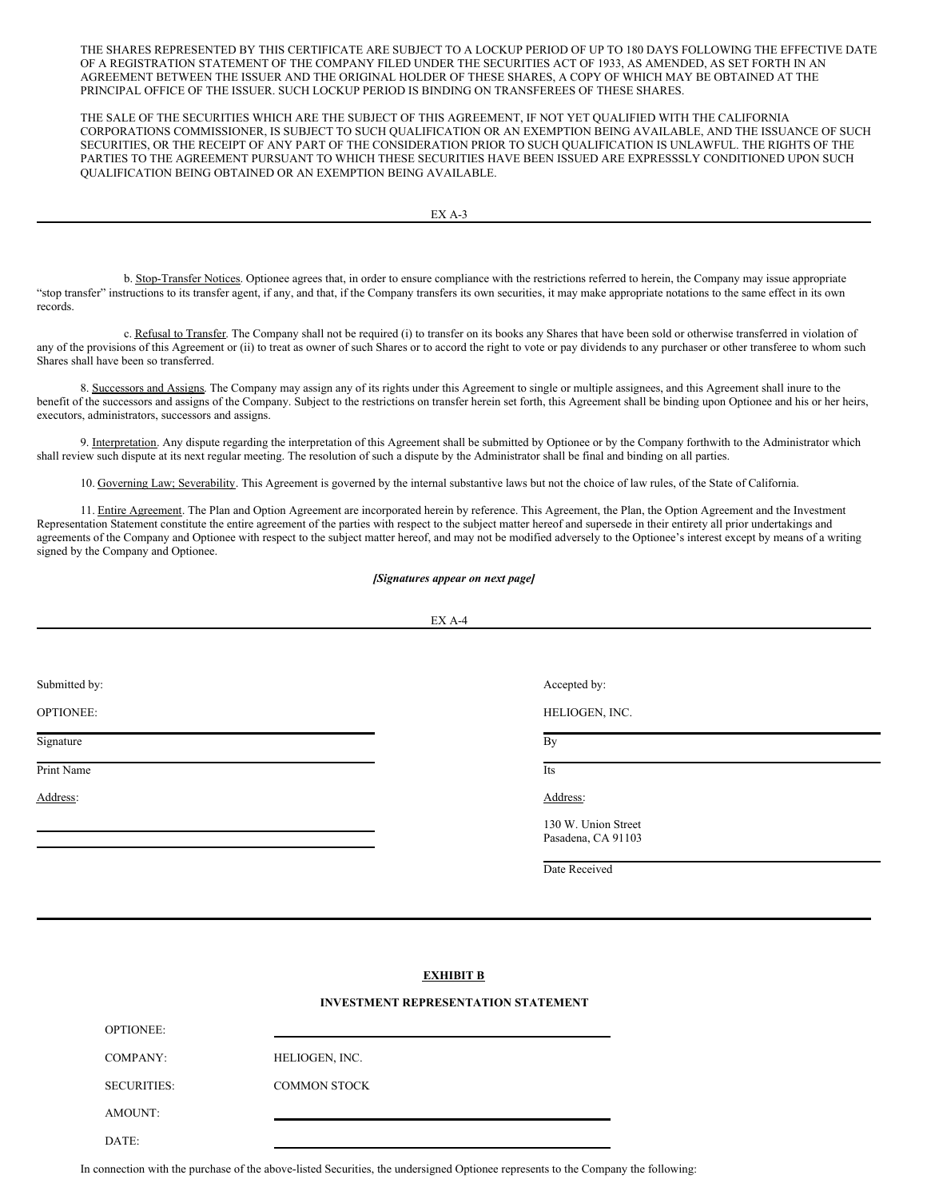THE SHARES REPRESENTED BY THIS CERTIFICATE ARE SUBJECT TO A LOCKUP PERIOD OF UP TO 180 DAYS FOLLOWING THE EFFECTIVE DATE OF A REGISTRATION STATEMENT OF THE COMPANY FILED UNDER THE SECURITIES ACT OF 1933, AS AMENDED, AS SET FORTH IN AN AGREEMENT BETWEEN THE ISSUER AND THE ORIGINAL HOLDER OF THESE SHARES, A COPY OF WHICH MAY BE OBTAINED AT THE PRINCIPAL OFFICE OF THE ISSUER. SUCH LOCKUP PERIOD IS BINDING ON TRANSFEREES OF THESE SHARES.

THE SALE OF THE SECURITIES WHICH ARE THE SUBJECT OF THIS AGREEMENT, IF NOT YET QUALIFIED WITH THE CALIFORNIA CORPORATIONS COMMISSIONER, IS SUBJECT TO SUCH QUALIFICATION OR AN EXEMPTION BEING AVAILABLE, AND THE ISSUANCE OF SUCH SECURITIES, OR THE RECEIPT OF ANY PART OF THE CONSIDERATION PRIOR TO SUCH QUALIFICATION IS UNLAWFUL. THE RIGHTS OF THE PARTIES TO THE AGREEMENT PURSUANT TO WHICH THESE SECURITIES HAVE BEEN ISSUED ARE EXPRESSSLY CONDITIONED UPON SUCH QUALIFICATION BEING OBTAINED OR AN EXEMPTION BEING AVAILABLE.

b. Stop-Transfer Notices. Optionee agrees that, in order to ensure compliance with the restrictions referred to herein, the Company may issue appropriate "stop transfer" instructions to its transfer agent, if any, and that, if the Company transfers its own securities, it may make appropriate notations to the same effect in its own records.

c. Refusal to Transfer. The Company shall not be required (i) to transfer on its books any Shares that have been sold or otherwise transferred in violation of any of the provisions of this Agreement or (ii) to treat as owner of such Shares or to accord the right to vote or pay dividends to any purchaser or other transferee to whom such Shares shall have been so transferred.

8. Successors and Assigns. The Company may assign any of its rights under this Agreement to single or multiple assignees, and this Agreement shall inure to the benefit of the successors and assigns of the Company. Subject to the restrictions on transfer herein set forth, this Agreement shall be binding upon Optionee and his or her heirs, executors, administrators, successors and assigns.

9. Interpretation. Any dispute regarding the interpretation of this Agreement shall be submitted by Optionee or by the Company forthwith to the Administrator which shall review such dispute at its next regular meeting. The resolution of such a dispute by the Administrator shall be final and binding on all parties.

10. Governing Law; Severability. This Agreement is governed by the internal substantive laws but not the choice of law rules, of the State of California.

11. Entire Agreement. The Plan and Option Agreement are incorporated herein by reference. This Agreement, the Plan, the Option Agreement and the Investment Representation Statement constitute the entire agreement of the parties with respect to the subject matter hereof and supersede in their entirety all prior undertakings and agreements of the Company and Optionee with respect to the subject matter hereof, and may not be modified adversely to the Optionee's interest except by means of a writing signed by the Company and Optionee.

#### *[Signatures appear on next page]*

|               | EX A-4                                    |  |
|---------------|-------------------------------------------|--|
|               |                                           |  |
|               |                                           |  |
| Submitted by: | Accepted by:                              |  |
| OPTIONEE:     | HELIOGEN, INC.                            |  |
| Signature     | By                                        |  |
| Print Name    | Its                                       |  |
| Address:      | Address:                                  |  |
|               | 130 W. Union Street<br>Pasadena, CA 91103 |  |
|               | Date Received                             |  |
|               |                                           |  |
|               |                                           |  |

## **EXHIBIT B**

#### **INVESTMENT REPRESENTATION STATEMENT**

| <b>OPTIONEE:</b>   |                     |
|--------------------|---------------------|
| COMPANY:           | HELIOGEN, INC.      |
| <b>SECURITIES:</b> | <b>COMMON STOCK</b> |
| AMOUNT:            |                     |
| DATE·              |                     |

In connection with the purchase of the above-listed Securities, the undersigned Optionee represents to the Company the following: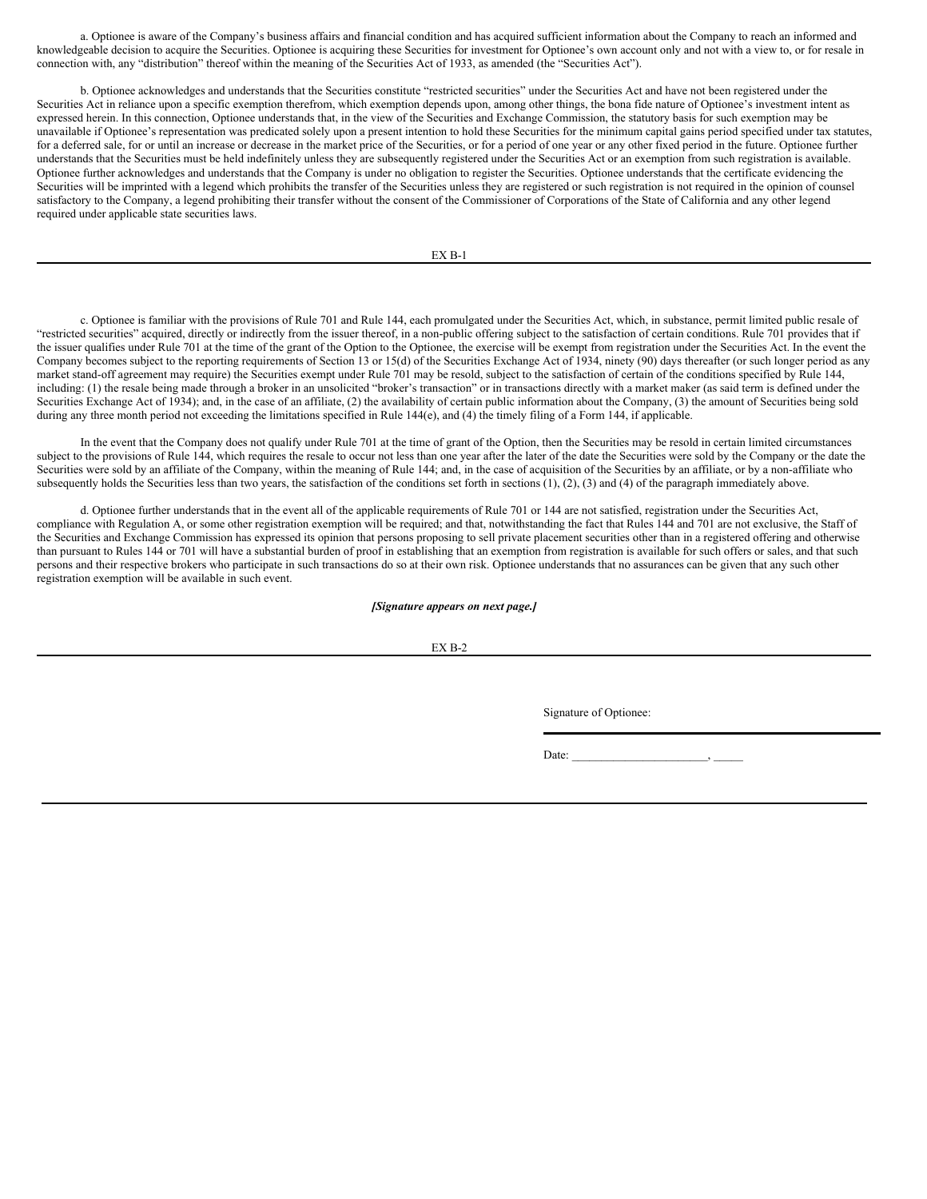a. Optionee is aware of the Company's business affairs and financial condition and has acquired sufficient information about the Company to reach an informed and knowledgeable decision to acquire the Securities. Optionee is acquiring these Securities for investment for Optionee's own account only and not with a view to, or for resale in connection with, any "distribution" thereof within the meaning of the Securities Act of 1933, as amended (the "Securities Act").

b. Optionee acknowledges and understands that the Securities constitute "restricted securities" under the Securities Act and have not been registered under the Securities Act in reliance upon a specific exemption therefrom, which exemption depends upon, among other things, the bona fide nature of Optionee's investment intent as expressed herein. In this connection, Optionee understands that, in the view of the Securities and Exchange Commission, the statutory basis for such exemption may be unavailable if Optionee's representation was predicated solely upon a present intention to hold these Securities for the minimum capital gains period specified under tax statutes, for a deferred sale, for or until an increase or decrease in the market price of the Securities, or for a period of one year or any other fixed period in the future. Optionee further understands that the Securities must be held indefinitely unless they are subsequently registered under the Securities Act or an exemption from such registration is available. Optionee further acknowledges and understands that the Company is under no obligation to register the Securities. Optionee understands that the certificate evidencing the Securities will be imprinted with a legend which prohibits the transfer of the Securities unless they are registered or such registration is not required in the opinion of counsel satisfactory to the Company, a legend prohibiting their transfer without the consent of the Commissioner of Corporations of the State of California and any other legend required under applicable state securities laws.

EX B-1

c. Optionee is familiar with the provisions of Rule 701 and Rule 144, each promulgated under the Securities Act, which, in substance, permit limited public resale of "restricted securities" acquired, directly or indirectly from the issuer thereof, in a non-public offering subject to the satisfaction of certain conditions. Rule 701 provides that if the issuer qualifies under Rule 701 at the time of the grant of the Option to the Optionee, the exercise will be exempt from registration under the Securities Act. In the event the Company becomes subject to the reporting requirements of Section 13 or 15(d) of the Securities Exchange Act of 1934, ninety (90) days thereafter (or such longer period as any market stand-off agreement may require) the Securities exempt under Rule 701 may be resold, subject to the satisfaction of certain of the conditions specified by Rule 144, including: (1) the resale being made through a broker in an unsolicited "broker's transaction" or in transactions directly with a market maker (as said term is defined under the Securities Exchange Act of 1934); and, in the case of an affiliate, (2) the availability of certain public information about the Company, (3) the amount of Securities being sold during any three month period not exceeding the limitations specified in Rule 144(e), and (4) the timely filing of a Form 144, if applicable.

In the event that the Company does not qualify under Rule 701 at the time of grant of the Option, then the Securities may be resold in certain limited circumstances subject to the provisions of Rule 144, which requires the resale to occur not less than one year after the later of the date the Securities were sold by the Company or the date the Securities were sold by an affiliate of the Company, within the meaning of Rule 144; and, in the case of acquisition of the Securities by an affiliate, or by a non-affiliate who subsequently holds the Securities less than two years, the satisfaction of the conditions set forth in sections (1), (2), (3) and (4) of the paragraph immediately above.

d. Optionee further understands that in the event all of the applicable requirements of Rule 701 or 144 are not satisfied, registration under the Securities Act, compliance with Regulation A, or some other registration exemption will be required; and that, notwithstanding the fact that Rules 144 and 701 are not exclusive, the Staff of the Securities and Exchange Commission has expressed its opinion that persons proposing to sell private placement securities other than in a registered offering and otherwise than pursuant to Rules 144 or 701 will have a substantial burden of proof in establishing that an exemption from registration is available for such offers or sales, and that such persons and their respective brokers who participate in such transactions do so at their own risk. Optionee understands that no assurances can be given that any such other registration exemption will be available in such event.

#### *[Signature appears on next page.]*

EX B-2

Signature of Optionee:

Date: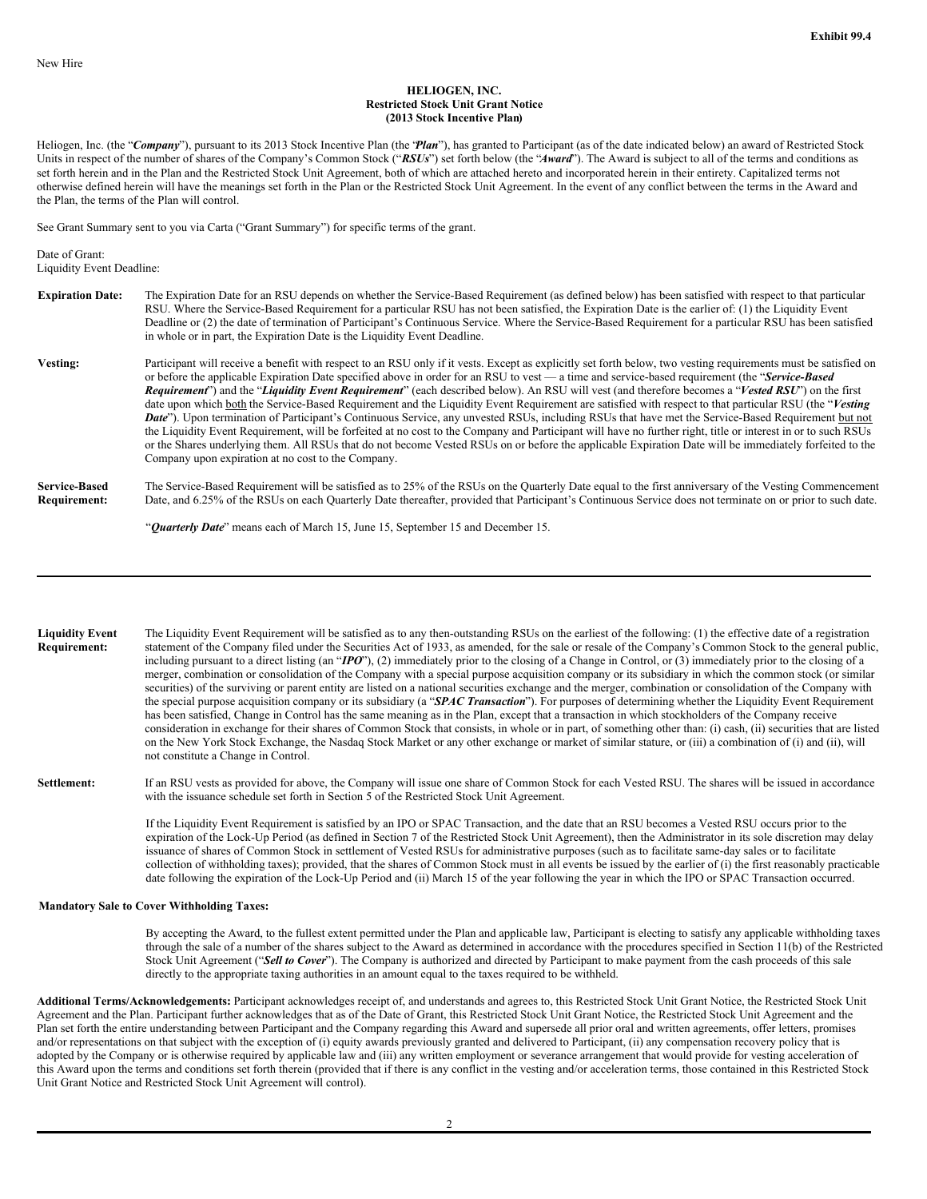#### **HELIOGEN, INC. Restricted Stock Unit Grant Notice (2013 Stock Incentive Plan)**

Heliogen, Inc. (the "Company"), pursuant to its 2013 Stock Incentive Plan (the "Plan"), has granted to Participant (as of the date indicated below) an award of Restricted Stock Units in respect of the number of shares of the Company's Common Stock ("*RSUs*") set forth below (the "*Award*"). The Award is subject to all of the terms and conditions as set forth herein and in the Plan and the Restricted Stock Unit Agreement, both of which are attached hereto and incorporated herein in their entirety. Capitalized terms not otherwise defined herein will have the meanings set forth in the Plan or the Restricted Stock Unit Agreement. In the event of any conflict between the terms in the Award and the Plan, the terms of the Plan will control.

See Grant Summary sent to you via Carta ("Grant Summary") for specific terms of the grant.

Date of Grant: Liquidity Event Deadline:

- **Expiration Date:** The Expiration Date for an RSU depends on whether the Service-Based Requirement (as defined below) has been satisfied with respect to that particular RSU. Where the Service-Based Requirement for a particular RSU has not been satisfied, the Expiration Date is the earlier of: (1) the Liquidity Event Deadline or (2) the date of termination of Participant's Continuous Service. Where the Service-Based Requirement for a particular RSU has been satisfied in whole or in part, the Expiration Date is the Liquidity Event Deadline.
- Vesting: Participant will receive a benefit with respect to an RSU only if it vests. Except as explicitly set forth below, two vesting requirements must be satisfied on or before the applicable Expiration Date specified above in order for an RSU to vest — a time and service-based requirement (the "*Service-Based Requirement*") and the "*Liquidity Event Requirement*" (each described below). An RSU will vest (and therefore becomes a "*Vested RSU*") on the first date upon which both the Service-Based Requirement and the Liquidity Event Requirement are satisfied with respect to that particular RSU (the "*Vesting Date*"). Upon termination of Participant's Continuous Service, any unvested RSUs, including RSUs that have met the Service-Based Requirement but not the Liquidity Event Requirement, will be forfeited at no cost to the Company and Participant will have no further right, title or interest in or to such RSUs or the Shares underlying them. All RSUs that do not become Vested RSUs on or before the applicable Expiration Date will be immediately forfeited to the Company upon expiration at no cost to the Company.
- **Service-Based Requirement:** The Service-Based Requirement will be satisfied as to 25% of the RSUs on the Quarterly Date equal to the first anniversary of the Vesting Commencement Date, and 6.25% of the RSUs on each Quarterly Date thereafter, provided that Participant's Continuous Service does not terminate on or prior to such date.

"*Quarterly Date*" means each of March 15, June 15, September 15 and December 15.

**Liquidity Event Requirement:** The Liquidity Event Requirement will be satisfied as to any then-outstanding RSUs on the earliest of the following: (1) the effective date of a registration statement of the Company filed under the Securities Act of 1933, as amended, for the sale or resale of the Company's Common Stock to the general public, including pursuant to a direct listing (an "*IPO*"), (2) immediately prior to the closing of a Change in Control, or (3) immediately prior to the closing of a merger, combination or consolidation of the Company with a special purpose acquisition company or its subsidiary in which the common stock (or similar securities) of the surviving or parent entity are listed on a national securities exchange and the merger, combination or consolidation of the Company with the special purpose acquisition company or its subsidiary (a "*SPAC Transaction*"). For purposes of determining whether the Liquidity Event Requirement has been satisfied, Change in Control has the same meaning as in the Plan, except that a transaction in which stockholders of the Company receive consideration in exchange for their shares of Common Stock that consists, in whole or in part, of something other than: (i) cash, (ii) securities that are listed on the New York Stock Exchange, the Nasdaq Stock Market or any other exchange or market of similar stature, or (iii) a combination of (i) and (ii), will not constitute a Change in Control.

Settlement: If an RSU vests as provided for above, the Company will issue one share of Common Stock for each Vested RSU. The shares will be issued in accordance with the issuance schedule set forth in Section 5 of the Restricted Stock Unit Agreement.

> If the Liquidity Event Requirement is satisfied by an IPO or SPAC Transaction, and the date that an RSU becomes a Vested RSU occurs prior to the expiration of the Lock-Up Period (as defined in Section 7 of the Restricted Stock Unit Agreement), then the Administrator in its sole discretion may delay issuance of shares of Common Stock in settlement of Vested RSUs for administrative purposes (such as to facilitate same-day sales or to facilitate collection of withholding taxes); provided, that the shares of Common Stock must in all events be issued by the earlier of (i) the first reasonably practicable date following the expiration of the Lock-Up Period and (ii) March 15 of the year following the year in which the IPO or SPAC Transaction occurred.

#### **Mandatory Sale to Cover Withholding Taxes:**

By accepting the Award, to the fullest extent permitted under the Plan and applicable law, Participant is electing to satisfy any applicable withholding taxes through the sale of a number of the shares subject to the Award as determined in accordance with the procedures specified in Section 11(b) of the Restricted Stock Unit Agreement ("*Sell to Cover*"). The Company is authorized and directed by Participant to make payment from the cash proceeds of this sale directly to the appropriate taxing authorities in an amount equal to the taxes required to be withheld.

**Additional Terms/Acknowledgements:** Participant acknowledges receipt of, and understands and agrees to, this Restricted Stock Unit Grant Notice, the Restricted Stock Unit Agreement and the Plan. Participant further acknowledges that as of the Date of Grant, this Restricted Stock Unit Grant Notice, the Restricted Stock Unit Agreement and the Plan set forth the entire understanding between Participant and the Company regarding this Award and supersede all prior oral and written agreements, offer letters, promises and/or representations on that subject with the exception of (i) equity awards previously granted and delivered to Participant, (ii) any compensation recovery policy that is adopted by the Company or is otherwise required by applicable law and (iii) any written employment or severance arrangement that would provide for vesting acceleration of this Award upon the terms and conditions set forth therein (provided that if there is any conflict in the vesting and/or acceleration terms, those contained in this Restricted Stock Unit Grant Notice and Restricted Stock Unit Agreement will control).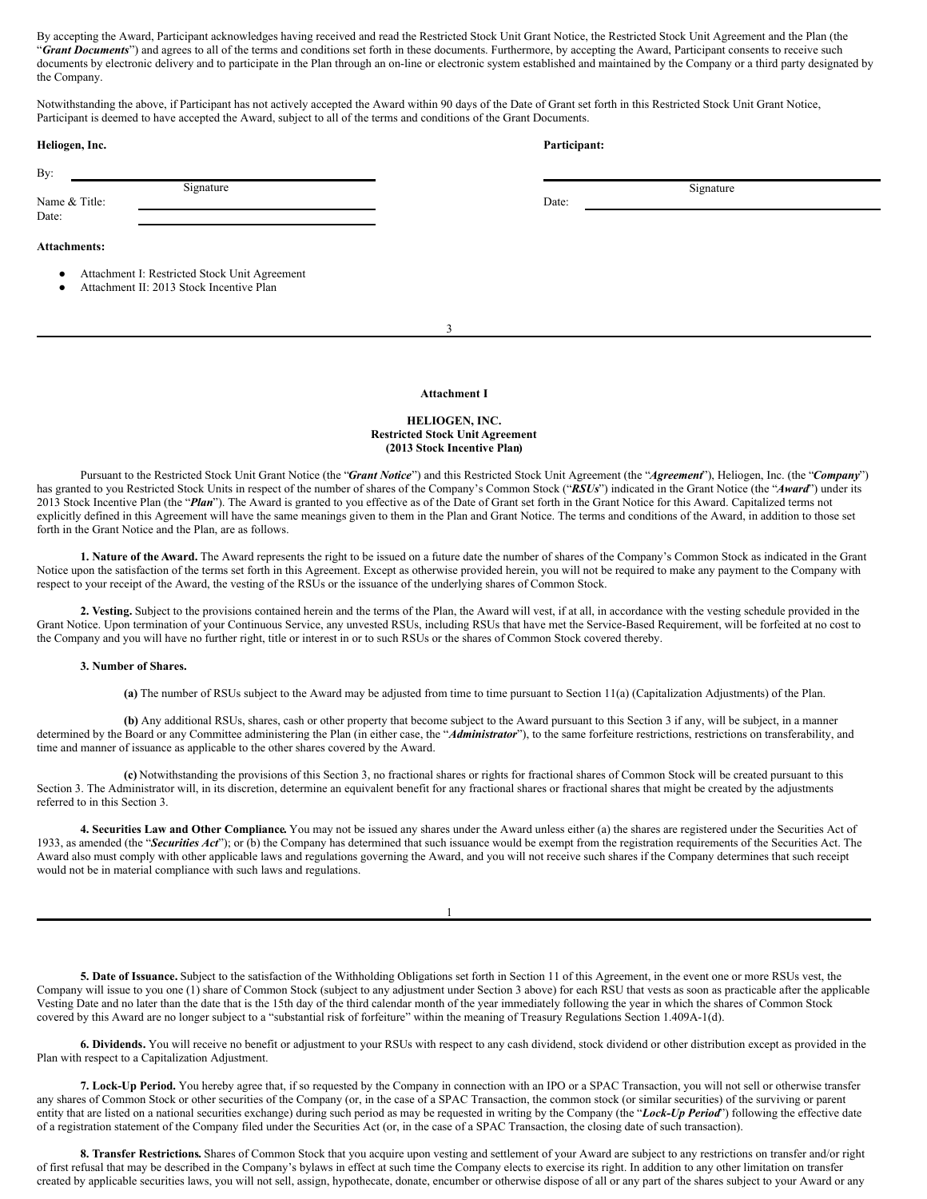By accepting the Award, Participant acknowledges having received and read the Restricted Stock Unit Grant Notice, the Restricted Stock Unit Agreement and the Plan (the "Grant Documents") and agrees to all of the terms and conditions set forth in these documents. Furthermore, by accepting the Award, Participant consents to receive such documents by electronic delivery and to participate in the Plan through an on-line or electronic system established and maintained by the Company or a third party designated by the Company.

Notwithstanding the above, if Participant has not actively accepted the Award within 90 days of the Date of Grant set forth in this Restricted Stock Unit Grant Notice, Participant is deemed to have accepted the Award, subject to all of the terms and conditions of the Grant Documents.

| Heliogen, Inc.                                                                                         | Participant: |  |  |
|--------------------------------------------------------------------------------------------------------|--------------|--|--|
| By:                                                                                                    |              |  |  |
| Signature                                                                                              | Signature    |  |  |
| Name & Title:                                                                                          | Date:        |  |  |
| Date:                                                                                                  |              |  |  |
| <b>Attachments:</b>                                                                                    |              |  |  |
| Attachment I: Restricted Stock Unit Agreement<br>Attachment II: 2013 Stock Incentive Plan<br>$\bullet$ |              |  |  |

3

#### **Attachment I**

#### **HELIOGEN, INC. Restricted Stock Unit Agreement (2013 Stock Incentive Plan)**

Pursuant to the Restricted Stock Unit Grant Notice (the "*Grant Notice*") and this Restricted Stock Unit Agreement (the "*Agreement*"), Heliogen, Inc. (the "*Company*") has granted to you Restricted Stock Units in respect of the number of shares of the Company's Common Stock ("*RSUs*") indicated in the Grant Notice (the "*Award*") under its 2013 Stock Incentive Plan (the "*Plan*"). The Award is granted to you effective as of the Date of Grant set forth in the Grant Notice for this Award. Capitalized terms not explicitly defined in this Agreement will have the same meanings given to them in the Plan and Grant Notice. The terms and conditions of the Award, in addition to those set forth in the Grant Notice and the Plan, are as follows.

**1. Nature of the Award.** The Award represents the right to be issued on a future date the number of shares of the Company's Common Stock as indicated in the Grant Notice upon the satisfaction of the terms set forth in this Agreement. Except as otherwise provided herein, you will not be required to make any payment to the Company with respect to your receipt of the Award, the vesting of the RSUs or the issuance of the underlying shares of Common Stock.

**2. Vesting.** Subject to the provisions contained herein and the terms of the Plan, the Award will vest, if at all, in accordance with the vesting schedule provided in the Grant Notice. Upon termination of your Continuous Service, any unvested RSUs, including RSUs that have met the Service-Based Requirement, will be forfeited at no cost to the Company and you will have no further right, title or interest in or to such RSUs or the shares of Common Stock covered thereby.

## **3. Number of Shares.**

**(a)** The number of RSUs subject to the Award may be adjusted from time to time pursuant to Section 11(a) (Capitalization Adjustments) of the Plan.

**(b)** Any additional RSUs, shares, cash or other property that become subject to the Award pursuant to this Section 3 if any, will be subject, in a manner determined by the Board or any Committee administering the Plan (in either case, the "*Administrator*"), to the same forfeiture restrictions, restrictions on transferability, and time and manner of issuance as applicable to the other shares covered by the Award.

**(c)** Notwithstanding the provisions of this Section 3, no fractional shares or rights for fractional shares of Common Stock will be created pursuant to this Section 3. The Administrator will, in its discretion, determine an equivalent benefit for any fractional shares or fractional shares that might be created by the adjustments referred to in this Section 3.

**4. Securities Law and Other Compliance.** You may not be issued any shares under the Award unless either (a) the shares are registered under the Securities Act of 1933, as amended (the "*Securities Act*"); or (b) the Company has determined that such issuance would be exempt from the registration requirements of the Securities Act. The Award also must comply with other applicable laws and regulations governing the Award, and you will not receive such shares if the Company determines that such receipt would not be in material compliance with such laws and regulations.

1

**5. Date of Issuance.** Subject to the satisfaction of the Withholding Obligations set forth in Section 11 of this Agreement, in the event one or more RSUs vest, the Company will issue to you one (1) share of Common Stock (subject to any adjustment under Section 3 above) for each RSU that vests as soon as practicable after the applicable Vesting Date and no later than the date that is the 15th day of the third calendar month of the year immediately following the year in which the shares of Common Stock covered by this Award are no longer subject to a "substantial risk of forfeiture" within the meaning of Treasury Regulations Section 1.409A-1(d).

**6. Dividends.** You will receive no benefit or adjustment to your RSUs with respect to any cash dividend, stock dividend or other distribution except as provided in the Plan with respect to a Capitalization Adjustment.

**7. Lock-Up Period.** You hereby agree that, if so requested by the Company in connection with an IPO or a SPAC Transaction, you will not sell or otherwise transfer any shares of Common Stock or other securities of the Company (or, in the case of a SPAC Transaction, the common stock (or similar securities) of the surviving or parent entity that are listed on a national securities exchange) during such period as may be requested in writing by the Company (the "*Lock-Up Period*") following the effective date of a registration statement of the Company filed under the Securities Act (or, in the case of a SPAC Transaction, the closing date of such transaction).

**8. Transfer Restrictions.** Shares of Common Stock that you acquire upon vesting and settlement of your Award are subject to any restrictions on transfer and/or right of first refusal that may be described in the Company's bylaws in effect at such time the Company elects to exercise its right. In addition to any other limitation on transfer created by applicable securities laws, you will not sell, assign, hypothecate, donate, encumber or otherwise dispose of all or any part of the shares subject to your Award or any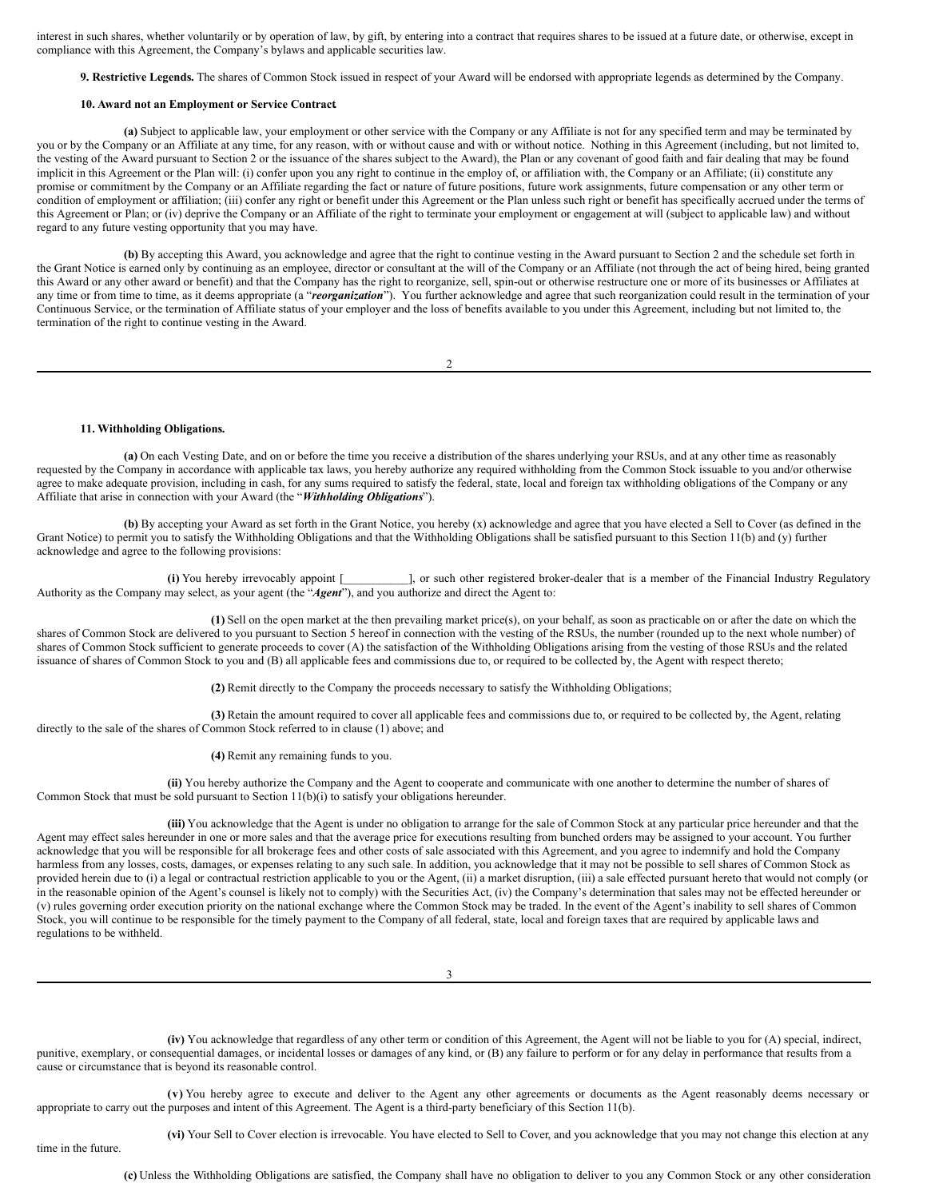<span id="page-14-0"></span>interest in such shares, whether voluntarily or by operation of law, by gift, by entering into a contract that requires shares to be issued at a future date, or otherwise, except in compliance with this Agreement, the Company's bylaws and applicable securities law.

**9. Restrictive Legends.** The shares of Common Stock issued in respect of your Award will be endorsed with appropriate legends as determined by the Company.

#### **10. Award not an Employment or Service Contract.**

**(a)** Subject to applicable law, your employment or other service with the Company or any Affiliate is not for any specified term and may be terminated by you or by the Company or an Affiliate at any time, for any reason, with or without cause and with or without notice. Nothing in this Agreement (including, but not limited to, the vesting of the Award pursuant to Section 2 or the issuance of the shares subject to the Award), the Plan or any covenant of good faith and fair dealing that may be found implicit in this Agreement or the Plan will: (i) confer upon you any right to continue in the employ of, or affiliation with, the Company or an Affiliate; (ii) constitute any promise or commitment by the Company or an Affiliate regarding the fact or nature of future positions, future work assignments, future compensation or any other term or condition of employment or affiliation; (iii) confer any right or benefit under this Agreement or the Plan unless such right or benefit has specifically accrued under the terms of this Agreement or Plan; or (iv) deprive the Company or an Affiliate of the right to terminate your employment or engagement at will (subject to applicable law) and without regard to any future vesting opportunity that you may have.

**(b)** By accepting this Award, you acknowledge and agree that the right to continue vesting in the Award pursuant to Section 2 and the schedule set forth in the Grant Notice is earned only by continuing as an employee, director or consultant at the will of the Company or an Affiliate (not through the act of being hired, being granted this Award or any other award or benefit) and that the Company has the right to reorganize, sell, spin-out or otherwise restructure one or more of its businesses or Affiliates at any time or from time to time, as it deems appropriate (a "*reorganization*"). You further acknowledge and agree that such reorganization could result in the termination of your Continuous Service, or the termination of Affiliate status of your employer and the loss of benefits available to you under this Agreement, including but not limited to, the termination of the right to continue vesting in the Award.

 $\overline{\phantom{a}}$ 

#### **11. Withholding Obligations.**

**(a)** On each Vesting Date, and on or before the time you receive a distribution of the shares underlying your RSUs, and at any other time as reasonably requested by the Company in accordance with applicable tax laws, you hereby authorize any required withholding from the Common Stock issuable to you and/or otherwise agree to make adequate provision, including in cash, for any sums required to satisfy the federal, state, local and foreign tax withholding obligations of the Company or any Affiliate that arise in connection with your Award (the "*Withholding Obligations*").

**(b)** By accepting your Award as set forth in the Grant Notice, you hereby (x) acknowledge and agree that you have elected a Sell to Cover (as defined in the Grant Notice) to permit you to satisfy the Withholding Obligations and that the Withholding Obligations shall be satisfied pursuant to this Section 11(b) and (y) further acknowledge and agree to the following provisions:

**(i)** You hereby irrevocably appoint [\_\_\_\_\_\_\_\_\_\_\_], or such other registered broker-dealer that is a member of the Financial Industry Regulatory Authority as the Company may select, as your agent (the "*Agent*"), and you authorize and direct the Agent to:

**(1)** Sell on the open market at the then prevailing market price(s), on your behalf, as soon as practicable on or after the date on which the shares of Common Stock are delivered to you pursuant to Section 5 hereof in connection with the vesting of the RSUs, the number (rounded up to the next whole number) of shares of Common Stock sufficient to generate proceeds to cover (A) the satisfaction of the Withholding Obligations arising from the vesting of those RSUs and the related issuance of shares of Common Stock to you and (B) all applicable fees and commissions due to, or required to be collected by, the Agent with respect thereto;

**(2)** Remit directly to the Company the proceeds necessary to satisfy the Withholding Obligations;

**(3)** Retain the amount required to cover all applicable fees and commissions due to, or required to be collected by, the Agent, relating directly to the sale of the shares of Common Stock referred to in clause (1) above; and

**(4)** Remit any remaining funds to you.

**(ii)** You hereby authorize the Company and the Agent to cooperate and communicate with one another to determine the number of shares of Common Stock that must be sold pursuant to Section 11(b)(i) to satisfy your obligations hereunder.

**(iii)** You acknowledge that the Agent is under no obligation to arrange for the sale of Common Stock at any particular price hereunder and that the Agent may effect sales hereunder in one or more sales and that the average price for executions resulting from bunched orders may be assigned to your account. You further acknowledge that you will be responsible for all brokerage fees and other costs of sale associated with this Agreement, and you agree to indemnify and hold the Company harmless from any losses, costs, damages, or expenses relating to any such sale. In addition, you acknowledge that it may not be possible to sell shares of Common Stock as provided herein due to (i) a legal or contractual restriction applicable to you or the Agent, (ii) a market disruption, (iii) a sale effected pursuant hereto that would not comply (or in the reasonable opinion of the Agent's counsel is likely not to comply) with the Securities Act, (iv) the Company's determination that sales may not be effected hereunder or (v) rules governing order execution priority on the national exchange where the Common Stock may be traded. In the event of the Agent's inability to sell shares of Common Stock, you will continue to be responsible for the timely payment to the Company of all federal, state, local and foreign taxes that are required by applicable laws and regulations to be withheld.

**(iv)** You acknowledge that regardless of any other term or condition of this Agreement, the Agent will not be liable to you for (A) special, indirect, punitive, exemplary, or consequential damages, or incidental losses or damages of any kind, or (B) any failure to perform or for any delay in performance that results from a cause or circumstance that is beyond its reasonable control.

**(v)** You hereby agree to execute and deliver to the Agent any other agreements or documents as the Agent reasonably deems necessary or appropriate to carry out the purposes and intent of this Agreement. The Agent is a third-party beneficiary of this Section 11(b).

**(vi)** Your Sell to Cover election is irrevocable. You have elected to Sell to Cover, and you acknowledge that you may not change this election at any

time in the future.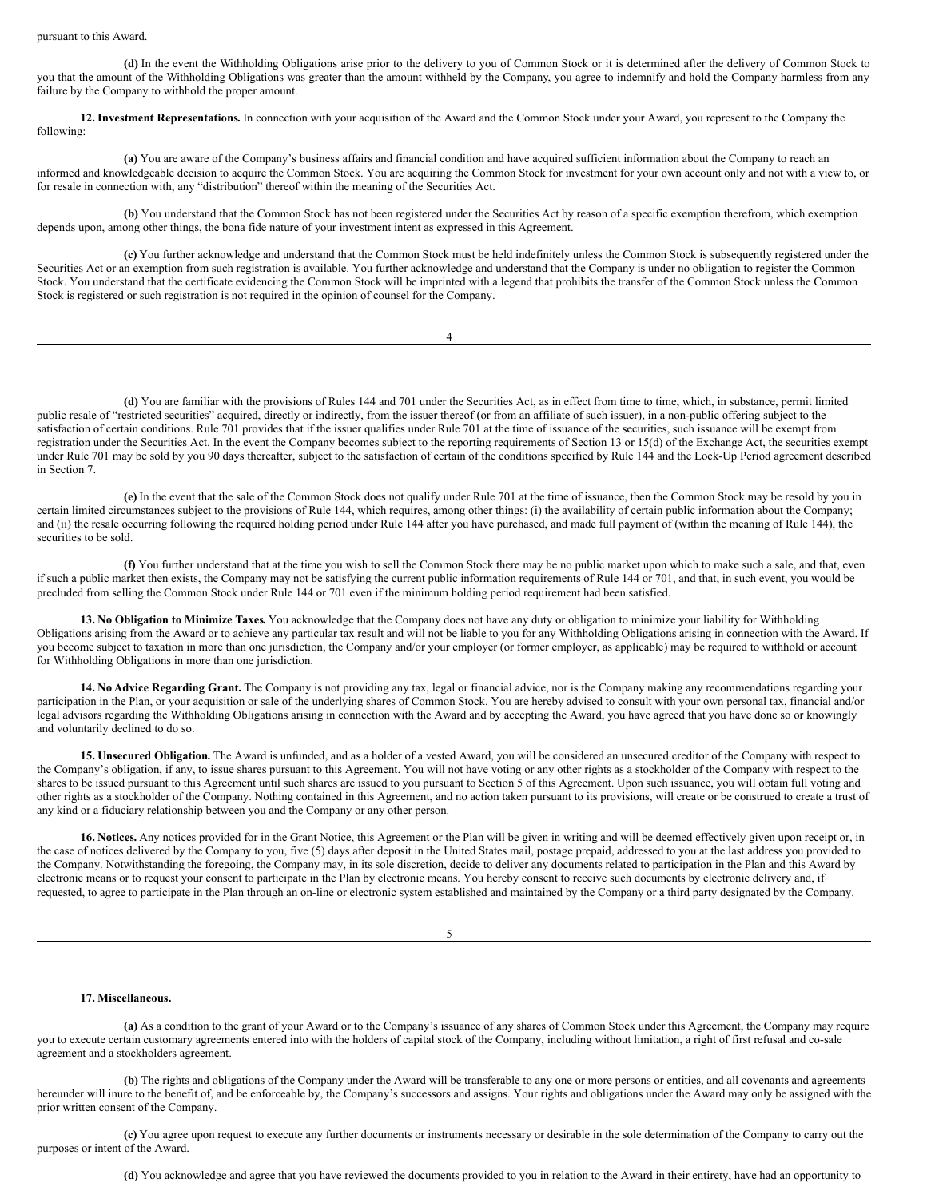#### pursuant to this Award.

**(d)** In the event the Withholding Obligations arise prior to the delivery to you of Common Stock or it is determined after the delivery of Common Stock to you that the amount of the Withholding Obligations was greater than the amount withheld by the Company, you agree to indemnify and hold the Company harmless from any failure by the Company to withhold the proper amount.

**12. Investment Representations.** In connection with your acquisition of the Award and the Common Stock under your Award, you represent to the Company the following:

**(a)** You are aware of the Company's business affairs and financial condition and have acquired sufficient information about the Company to reach an informed and knowledgeable decision to acquire the Common Stock. You are acquiring the Common Stock for investment for your own account only and not with a view to, or for resale in connection with, any "distribution" thereof within the meaning of the Securities Act.

**(b)** You understand that the Common Stock has not been registered under the Securities Act by reason of a specific exemption therefrom, which exemption depends upon, among other things, the bona fide nature of your investment intent as expressed in this Agreement.

**(c)** You further acknowledge and understand that the Common Stock must be held indefinitely unless the Common Stock is subsequently registered under the Securities Act or an exemption from such registration is available. You further acknowledge and understand that the Company is under no obligation to register the Common Stock. You understand that the certificate evidencing the Common Stock will be imprinted with a legend that prohibits the transfer of the Common Stock unless the Common Stock is registered or such registration is not required in the opinion of counsel for the Company.

4

**(d)** You are familiar with the provisions of Rules 144 and 701 under the Securities Act, as in effect from time to time, which, in substance, permit limited public resale of "restricted securities" acquired, directly or indirectly, from the issuer thereof (or from an affiliate of such issuer), in a non-public offering subject to the satisfaction of certain conditions. Rule 701 provides that if the issuer qualifies under Rule 701 at the time of issuance of the securities, such issuance will be exempt from registration under the Securities Act. In the event the Company becomes subject to the reporting requirements of Section 13 or 15(d) of the Exchange Act, the securities exempt under Rule 701 may be sold by you 90 days thereafter, subject to the satisfaction of certain of the conditions specified by Rule 144 and the Lock-Up Period agreement described in Section 7.

**(e)** In the event that the sale of the Common Stock does not qualify under Rule 701 at the time of issuance, then the Common Stock may be resold by you in certain limited circumstances subject to the provisions of Rule 144, which requires, among other things: (i) the availability of certain public information about the Company; and (ii) the resale occurring following the required holding period under Rule 144 after you have purchased, and made full payment of (within the meaning of Rule 144), the securities to be sold.

**(f)** You further understand that at the time you wish to sell the Common Stock there may be no public market upon which to make such a sale, and that, even if such a public market then exists, the Company may not be satisfying the current public information requirements of Rule 144 or 701, and that, in such event, you would be precluded from selling the Common Stock under Rule 144 or 701 even if the minimum holding period requirement had been satisfied.

**13. No Obligation to Minimize Taxes.** You acknowledge that the Company does not have any duty or obligation to minimize your liability for Withholding Obligations arising from the Award or to achieve any particular tax result and will not be liable to you for any Withholding Obligations arising in connection with the Award. If you become subject to taxation in more than one jurisdiction, the Company and/or your employer (or former employer, as applicable) may be required to withhold or account for Withholding Obligations in more than one jurisdiction.

**14. No Advice Regarding Grant.** The Company is not providing any tax, legal or financial advice, nor is the Company making any recommendations regarding your participation in the Plan, or your acquisition or sale of the underlying shares of Common Stock. You are hereby advised to consult with your own personal tax, financial and/or legal advisors regarding the Withholding Obligations arising in connection with the Award and by accepting the Award, you have agreed that you have done so or knowingly and voluntarily declined to do so.

**15. Unsecured Obligation.** The Award is unfunded, and as a holder of a vested Award, you will be considered an unsecured creditor of the Company with respect to the Company's obligation, if any, to issue shares pursuant to this Agreement. You will not have voting or any other rights as a stockholder of the Company with respect to the shares to be issued pursuant to this Agreement until such shares are issued to you pursuant to Section 5 of this Agreement. Upon such issuance, you will obtain full voting and other rights as a stockholder of the Company. Nothing contained in this Agreement, and no action taken pursuant to its provisions, will create or be construed to create a trust of any kind or a fiduciary relationship between you and the Company or any other person.

**16. Notices.** Any notices provided for in the Grant Notice, this Agreement or the Plan will be given in writing and will be deemed effectively given upon receipt or, in the case of notices delivered by the Company to you, five (5) days after deposit in the United States mail, postage prepaid, addressed to you at the last address you provided to the Company. Notwithstanding the foregoing, the Company may, in its sole discretion, decide to deliver any documents related to participation in the Plan and this Award by electronic means or to request your consent to participate in the Plan by electronic means. You hereby consent to receive such documents by electronic delivery and, if requested, to agree to participate in the Plan through an on-line or electronic system established and maintained by the Company or a third party designated by the Company.

5

#### **17. Miscellaneous.**

**(a)** As a condition to the grant of your Award or to the Company's issuance of any shares of Common Stock under this Agreement, the Company may require you to execute certain customary agreements entered into with the holders of capital stock of the Company, including without limitation, a right of first refusal and co-sale agreement and a stockholders agreement.

**(b)** The rights and obligations of the Company under the Award will be transferable to any one or more persons or entities, and all covenants and agreements hereunder will inure to the benefit of, and be enforceable by, the Company's successors and assigns. Your rights and obligations under the Award may only be assigned with the prior written consent of the Company.

**(c)** You agree upon request to execute any further documents or instruments necessary or desirable in the sole determination of the Company to carry out the purposes or intent of the Award.

**(d)** You acknowledge and agree that you have reviewed the documents provided to you in relation to the Award in their entirety, have had an opportunity to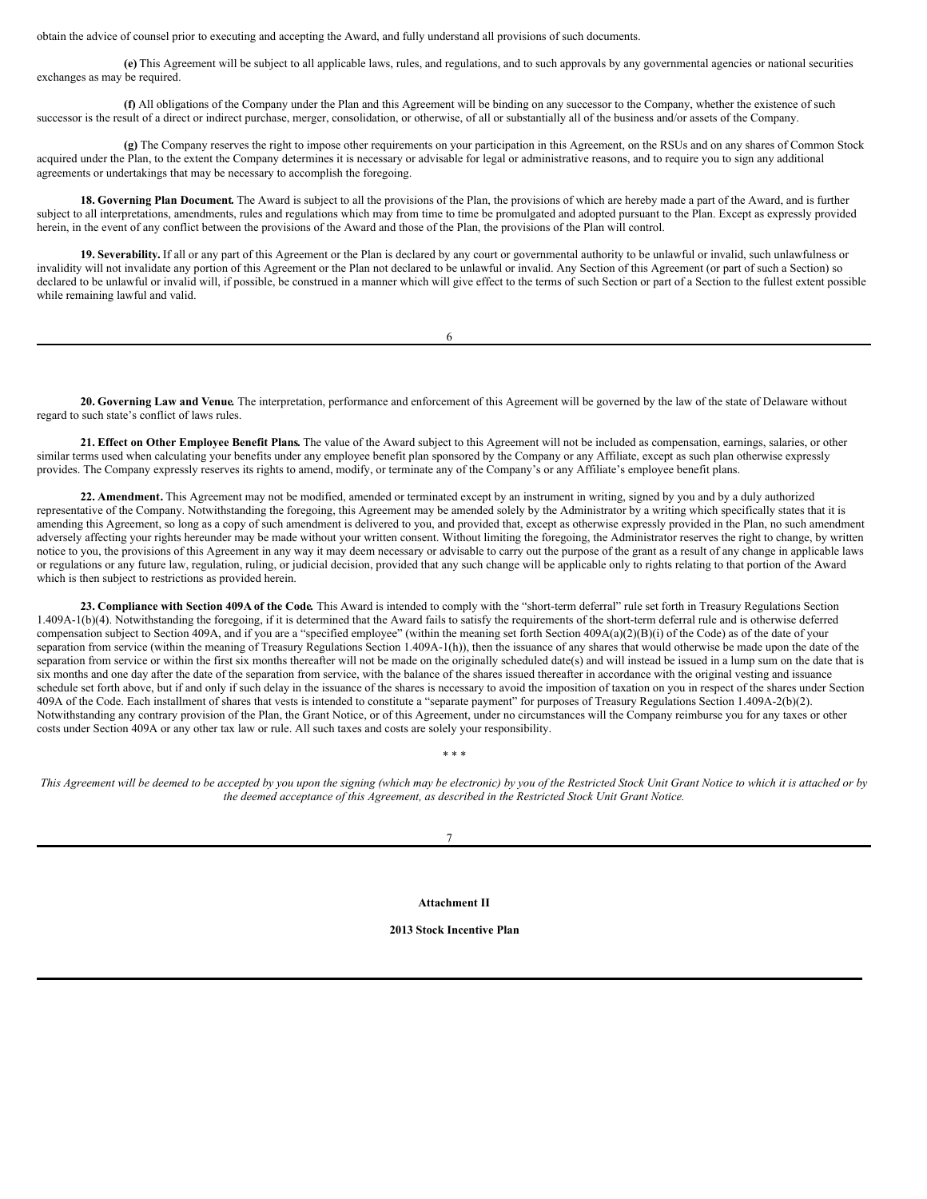obtain the advice of counsel prior to executing and accepting the Award, and fully understand all provisions of such documents.

**(e)** This Agreement will be subject to all applicable laws, rules, and regulations, and to such approvals by any governmental agencies or national securities exchanges as may be required.

**(f)** All obligations of the Company under the Plan and this Agreement will be binding on any successor to the Company, whether the existence of such successor is the result of a direct or indirect purchase, merger, consolidation, or otherwise, of all or substantially all of the business and/or assets of the Company.

**(g)** The Company reserves the right to impose other requirements on your participation in this Agreement, on the RSUs and on any shares of Common Stock acquired under the Plan, to the extent the Company determines it is necessary or advisable for legal or administrative reasons, and to require you to sign any additional agreements or undertakings that may be necessary to accomplish the foregoing.

**18. Governing Plan Document.** The Award is subject to all the provisions of the Plan, the provisions of which are hereby made a part of the Award, and is further subject to all interpretations, amendments, rules and regulations which may from time to time be promulgated and adopted pursuant to the Plan. Except as expressly provided herein, in the event of any conflict between the provisions of the Award and those of the Plan, the provisions of the Plan will control.

**19. Severability.** If all or any part of this Agreement or the Plan is declared by any court or governmental authority to be unlawful or invalid, such unlawfulness or invalidity will not invalidate any portion of this Agreement or the Plan not declared to be unlawful or invalid. Any Section of this Agreement (or part of such a Section) so declared to be unlawful or invalid will, if possible, be construed in a manner which will give effect to the terms of such Section or part of a Section to the fullest extent possible while remaining lawful and valid.

| ۰,<br>I<br>۰, |  |
|---------------|--|

**20. Governing Law and Venue***.* The interpretation, performance and enforcement of this Agreement will be governed by the law of the state of Delaware without regard to such state's conflict of laws rules.

**21. Effect on Other Employee Benefit Plans.** The value of the Award subject to this Agreement will not be included as compensation, earnings, salaries, or other similar terms used when calculating your benefits under any employee benefit plan sponsored by the Company or any Affiliate, except as such plan otherwise expressly provides. The Company expressly reserves its rights to amend, modify, or terminate any of the Company's or any Affiliate's employee benefit plans.

**22. Amendment.** This Agreement may not be modified, amended or terminated except by an instrument in writing, signed by you and by a duly authorized representative of the Company. Notwithstanding the foregoing, this Agreement may be amended solely by the Administrator by a writing which specifically states that it is amending this Agreement, so long as a copy of such amendment is delivered to you, and provided that, except as otherwise expressly provided in the Plan, no such amendment adversely affecting your rights hereunder may be made without your written consent. Without limiting the foregoing, the Administrator reserves the right to change, by written notice to you, the provisions of this Agreement in any way it may deem necessary or advisable to carry out the purpose of the grant as a result of any change in applicable laws or regulations or any future law, regulation, ruling, or judicial decision, provided that any such change will be applicable only to rights relating to that portion of the Award which is then subject to restrictions as provided herein.

**23. Compliance with Section 409A of the Code***.* This Award is intended to comply with the "short-term deferral" rule set forth in Treasury Regulations Section 1.409A-1(b)(4). Notwithstanding the foregoing, if it is determined that the Award fails to satisfy the requirements of the short-term deferral rule and is otherwise deferred compensation subject to Section 409A, and if you are a "specified employee" (within the meaning set forth Section 409A(a)(2)(B)(i) of the Code) as of the date of your separation from service (within the meaning of Treasury Regulations Section 1.409A-1(h)), then the issuance of any shares that would otherwise be made upon the date of the separation from service or within the first six months thereafter will not be made on the originally scheduled date(s) and will instead be issued in a lump sum on the date that is six months and one day after the date of the separation from service, with the balance of the shares issued thereafter in accordance with the original vesting and issuance schedule set forth above, but if and only if such delay in the issuance of the shares is necessary to avoid the imposition of taxation on you in respect of the shares under Section 409A of the Code. Each installment of shares that vests is intended to constitute a "separate payment" for purposes of Treasury Regulations Section 1.409A-2(b)(2). Notwithstanding any contrary provision of the Plan, the Grant Notice, or of this Agreement, under no circumstances will the Company reimburse you for any taxes or other costs under Section 409A or any other tax law or rule. All such taxes and costs are solely your responsibility.

This Agreement will be deemed to be accepted by you upon the signing (which may be electronic) by you of the Restricted Stock Unit Grant Notice to which it is attached or by *the deemed acceptance of this Agreement, as described in the Restricted Stock Unit Grant Notice.*

*\* \* \**

**Attachment II**

**2013 Stock Incentive Plan**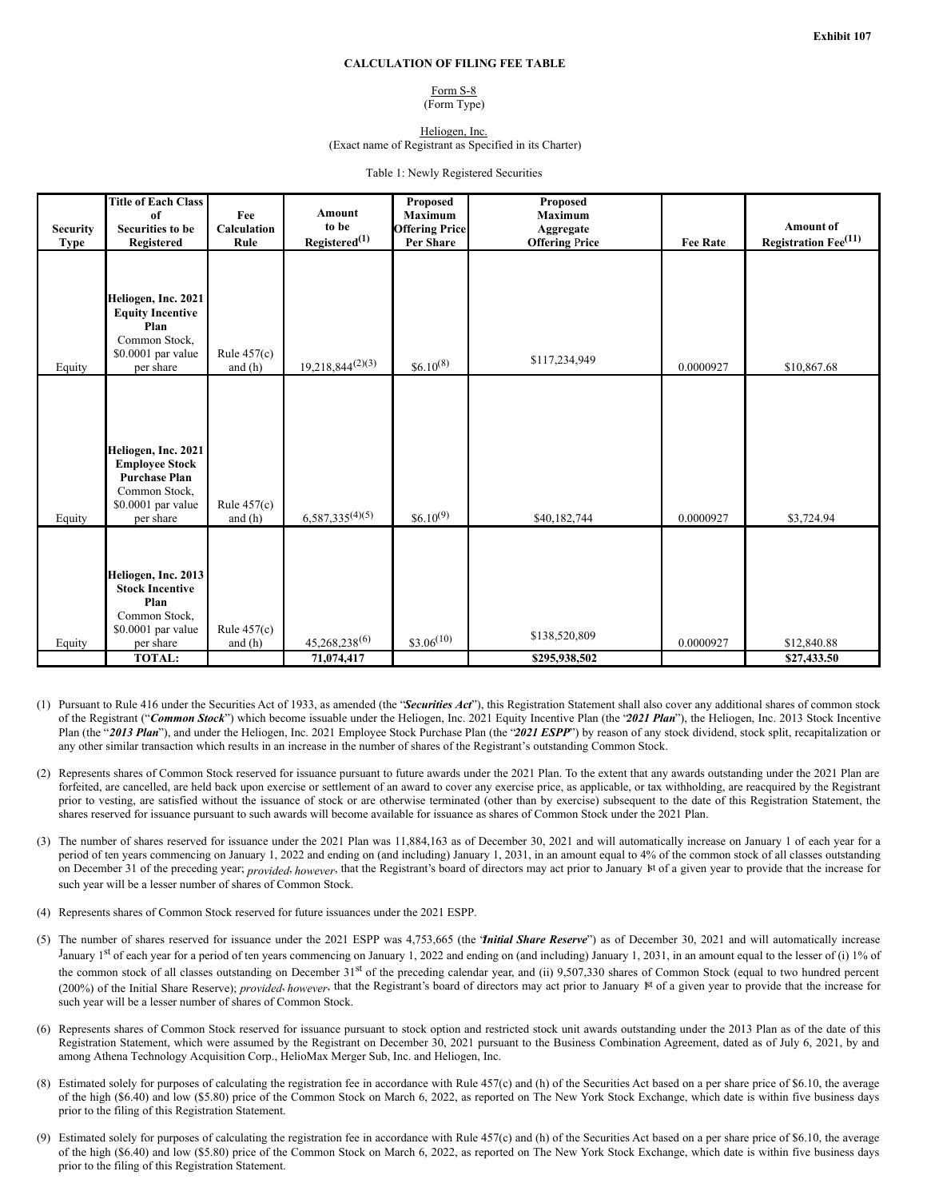#### **CALCULATION OF FILING FEE TABLE**

## Form S-8

(Form Type)

Heliogen, Inc.

(Exact name of Registrant as Specified in its Charter)

Table 1: Newly Registered Securities

<span id="page-17-0"></span>

|                         | <b>Title of Each Class</b><br>of                                                                                           | Fee                        | <b>Amount</b>                      | Proposed<br><b>Maximum</b>         | Proposed<br><b>Maximum</b>         |                 |                                                      |
|-------------------------|----------------------------------------------------------------------------------------------------------------------------|----------------------------|------------------------------------|------------------------------------|------------------------------------|-----------------|------------------------------------------------------|
| <b>Security</b><br>Type | <b>Securities to be</b><br>Registered                                                                                      | Calculation<br>Rule        | to be<br>Registered <sup>(1)</sup> | <b>Offering Price</b><br>Per Share | Aggregate<br><b>Offering Price</b> | <b>Fee Rate</b> | Amount of<br><b>Registration Fee</b> <sup>(11)</sup> |
| Equity                  | Heliogen, Inc. 2021<br><b>Equity Incentive</b><br>Plan<br>Common Stock,<br>\$0.0001 par value<br>per share                 | Rule $457(c)$<br>and $(h)$ | $19,218,844^{(2)(3)}$              | $$6.10^{(8)}$$                     | \$117,234,949                      | 0.0000927       | \$10,867.68                                          |
| Equity                  | Heliogen, Inc. 2021<br><b>Employee Stock</b><br><b>Purchase Plan</b><br>Common Stock,<br>\$0.0001 par value<br>per share   | Rule $457(c)$<br>and $(h)$ | $6,587,335^{(4)(5)}$               | $$6.10^{(9)}$$                     | \$40,182,744                       | 0.0000927       | \$3,724.94                                           |
| Equity                  | Heliogen, Inc. 2013<br><b>Stock Incentive</b><br>Plan<br>Common Stock,<br>\$0.0001 par value<br>per share<br><b>TOTAL:</b> | Rule $457(c)$<br>and $(h)$ | $45,268,238^{(6)}$                 | $$3.06^{(10)}$                     | \$138,520,809                      | 0.0000927       | \$12,840.88                                          |
|                         |                                                                                                                            |                            | 71,074,417                         |                                    | \$295,938,502                      |                 | \$27,433.50                                          |

- (1) Pursuant to Rule 416 under the Securities Act of 1933, as amended (the "*Securities Act*"), this Registration Statement shall also cover any additional shares of common stock of the Registrant ("*Common Stock*") which become issuable under the Heliogen, Inc. 2021 Equity Incentive Plan (the "*2021 Plan*"), the Heliogen, Inc. 2013 Stock Incentive Plan (the "*2013 Plan*"), and under the Heliogen, Inc. 2021 Employee Stock Purchase Plan (the "*2021 ESPP*") by reason of any stock dividend, stock split, recapitalization or any other similar transaction which results in an increase in the number of shares of the Registrant's outstanding Common Stock.
- (2) Represents shares of Common Stock reserved for issuance pursuant to future awards under the 2021 Plan. To the extent that any awards outstanding under the 2021 Plan are forfeited, are cancelled, are held back upon exercise or settlement of an award to cover any exercise price, as applicable, or tax withholding, are reacquired by the Registrant prior to vesting, are satisfied without the issuance of stock or are otherwise terminated (other than by exercise) subsequent to the date of this Registration Statement, the shares reserved for issuance pursuant to such awards will become available for issuance as shares of Common Stock under the 2021 Plan.
- (3) The number of shares reserved for issuance under the 2021 Plan was 11,884,163 as of December 30, 2021 and will automatically increase on January 1 of each year for a period of ten years commencing on January 1, 2022 and ending on (and including) January 1, 2031, in an amount equal to 4% of the common stock of all classes outstanding on December 31 of the preceding year; *provided*, *however*, that the Registrant's board of directors may act prior to January kt of a given year to provide that the increase for such year will be a lesser number of shares of Common Stock.
- (4) Represents shares of Common Stock reserved for future issuances under the 2021 ESPP.
- (5) The number of shares reserved for issuance under the 2021 ESPP was 4,753,665 (the "*Initial Share Reserve*") as of December 30, 2021 and will automatically increase January 1<sup>st</sup> of each year for a period of ten years commencing on January 1, 2022 and ending on (and including) January 1, 2031, in an amount equal to the lesser of (i) 1% of the common stock of all classes outstanding on December 31<sup>st</sup> of the preceding calendar year, and (ii) 9,507,330 shares of Common Stock (equal to two hundred percent (200%) of the Initial Share Reserve); *provided*, *however*, that the Registrant's board of directors may act prior to January  $\mathbb{N}$  of a given year to provide that the increase for such year will be a lesser number of shares of Common Stock.
- (6) Represents shares of Common Stock reserved for issuance pursuant to stock option and restricted stock unit awards outstanding under the 2013 Plan as of the date of this Registration Statement, which were assumed by the Registrant on December 30, 2021 pursuant to the Business Combination Agreement, dated as of July 6, 2021, by and among Athena Technology Acquisition Corp., HelioMax Merger Sub, Inc. and Heliogen, Inc.
- (8) Estimated solely for purposes of calculating the registration fee in accordance with Rule 457(c) and (h) of the Securities Act based on a per share price of \$6.10, the average of the high (\$6.40) and low (\$5.80) price of the Common Stock on March 6, 2022, as reported on The New York Stock Exchange, which date is within five business days prior to the filing of this Registration Statement.
- (9) Estimated solely for purposes of calculating the registration fee in accordance with Rule 457(c) and (h) of the Securities Act based on a per share price of \$6.10, the average of the high (\$6.40) and low (\$5.80) price of the Common Stock on March 6, 2022, as reported on The New York Stock Exchange, which date is within five business days prior to the filing of this Registration Statement.